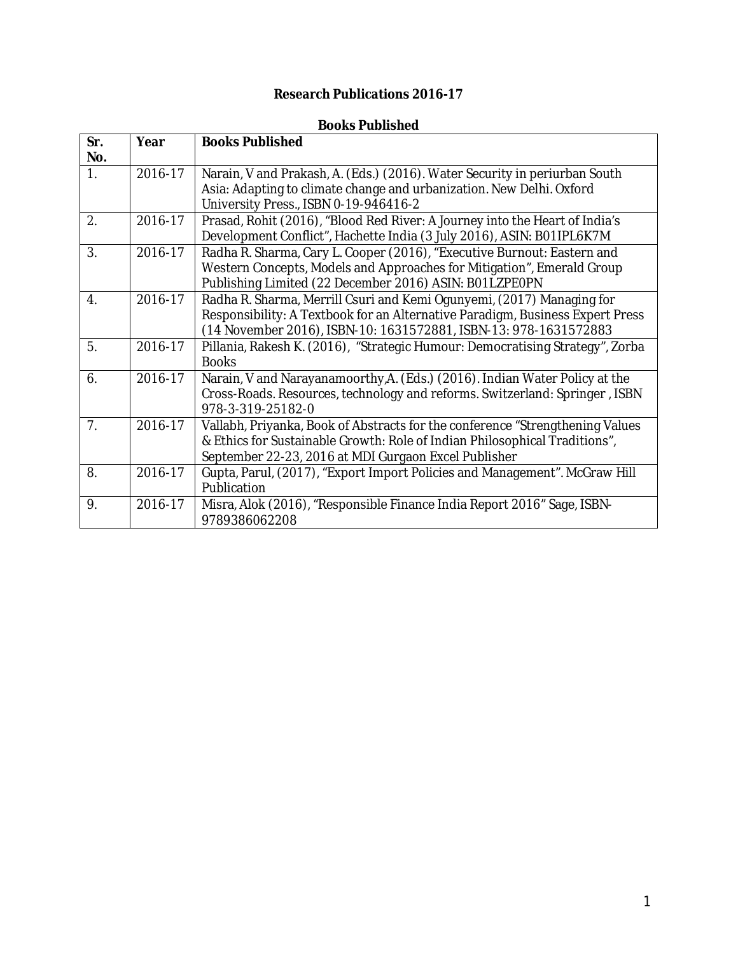## **Research Publications 2016-17**

## **Books Published**

| Sr.<br>No.       | Year    | <b>Books Published</b>                                                                                                                                                                                                     |
|------------------|---------|----------------------------------------------------------------------------------------------------------------------------------------------------------------------------------------------------------------------------|
| 1.               | 2016-17 | Narain, V and Prakash, A. (Eds.) (2016). Water Security in periurban South<br>Asia: Adapting to climate change and urbanization. New Delhi. Oxford<br>University Press., ISBN 0-19-946416-2                                |
| 2.               | 2016-17 | Prasad, Rohit (2016), "Blood Red River: A Journey into the Heart of India's<br>Development Conflict", Hachette India (3 July 2016), ASIN: B01IPL6K7M                                                                       |
| 3.               | 2016-17 | Radha R. Sharma, Cary L. Cooper (2016), "Executive Burnout: Eastern and<br>Western Concepts, Models and Approaches for Mitigation", Emerald Group<br>Publishing Limited (22 December 2016) ASIN: B01LZPE0PN                |
| $\overline{4}$ . | 2016-17 | Radha R. Sharma, Merrill Csuri and Kemi Ogunyemi, (2017) Managing for<br>Responsibility: A Textbook for an Alternative Paradigm, Business Expert Press<br>(14 November 2016), ISBN-10: 1631572881, ISBN-13: 978-1631572883 |
| 5.               | 2016-17 | Pillania, Rakesh K. (2016), "Strategic Humour: Democratising Strategy", Zorba<br><b>Books</b>                                                                                                                              |
| 6.               | 2016-17 | Narain, V and Narayanamoorthy, A. (Eds.) (2016). Indian Water Policy at the<br>Cross-Roads. Resources, technology and reforms. Switzerland: Springer, ISBN<br>978-3-319-25182-0                                            |
| 7 <sub>1</sub>   | 2016-17 | Vallabh, Priyanka, Book of Abstracts for the conference "Strengthening Values<br>& Ethics for Sustainable Growth: Role of Indian Philosophical Traditions",<br>September 22-23, 2016 at MDI Gurgaon Excel Publisher        |
| 8.               | 2016-17 | Gupta, Parul, (2017), "Export Import Policies and Management". McGraw Hill<br>Publication                                                                                                                                  |
| 9.               | 2016-17 | Misra, Alok (2016), "Responsible Finance India Report 2016" Sage, ISBN-<br>9789386062208                                                                                                                                   |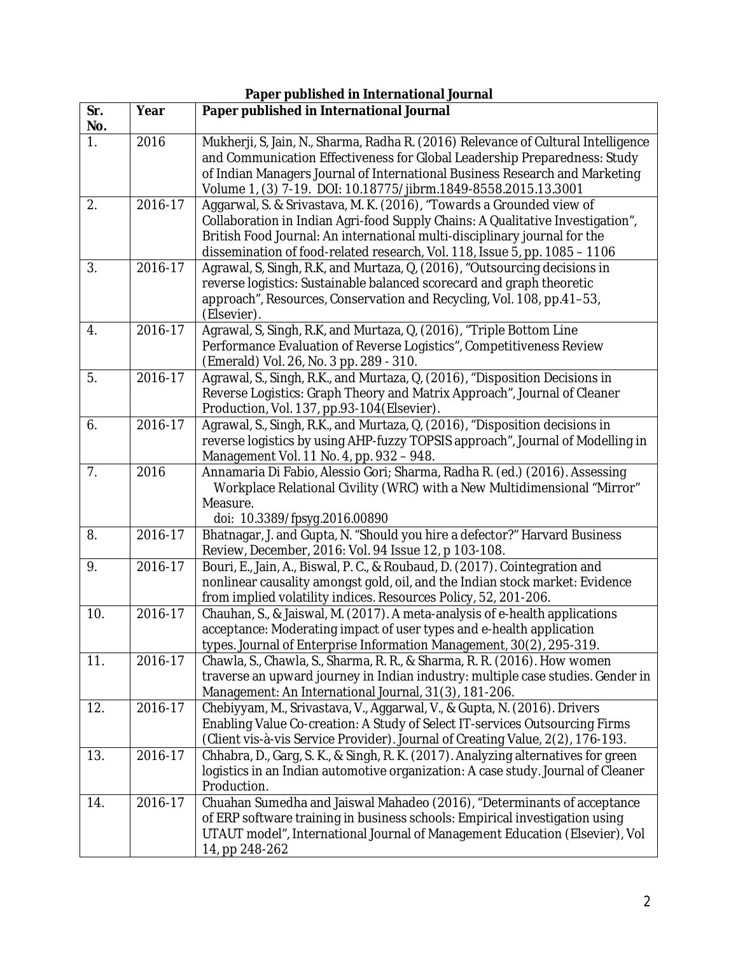| Paper published in International Journal |             |                                                                                                                                                                                                                                                                                                                   |  |
|------------------------------------------|-------------|-------------------------------------------------------------------------------------------------------------------------------------------------------------------------------------------------------------------------------------------------------------------------------------------------------------------|--|
| Sr.<br>No.                               | Year        | Paper published in International Journal                                                                                                                                                                                                                                                                          |  |
| 1.                                       | 2016        | Mukherji, S, Jain, N., Sharma, Radha R. (2016) Relevance of Cultural Intelligence<br>and Communication Effectiveness for Global Leadership Preparedness: Study<br>of Indian Managers Journal of International Business Research and Marketing<br>Volume 1, (3) 7-19. DOI: 10.18775/jibrm.1849-8558.2015.13.3001   |  |
| 2.                                       | 2016-17     | Aggarwal, S. & Srivastava, M. K. (2016), "Towards a Grounded view of<br>Collaboration in Indian Agri-food Supply Chains: A Qualitative Investigation",<br>British Food Journal: An international multi-disciplinary journal for the<br>dissemination of food-related research, Vol. 118, Issue 5, pp. 1085 - 1106 |  |
| 3.                                       | $2016 - 17$ | Agrawal, S, Singh, R.K, and Murtaza, Q, (2016), "Outsourcing decisions in<br>reverse logistics: Sustainable balanced scorecard and graph theoretic<br>approach", Resources, Conservation and Recycling, Vol. 108, pp.41-53,<br>(Elsevier).                                                                        |  |
| 4.                                       | 2016-17     | Agrawal, S, Singh, R.K, and Murtaza, Q, (2016), "Triple Bottom Line<br>Performance Evaluation of Reverse Logistics", Competitiveness Review<br>(Emerald) Vol. 26, No. 3 pp. 289 - 310.                                                                                                                            |  |
| 5.                                       | 2016-17     | Agrawal, S., Singh, R.K., and Murtaza, Q, (2016), "Disposition Decisions in<br>Reverse Logistics: Graph Theory and Matrix Approach", Journal of Cleaner<br>Production, Vol. 137, pp.93-104(Elsevier).                                                                                                             |  |
| 6.                                       | 2016-17     | Agrawal, S., Singh, R.K., and Murtaza, Q, (2016), "Disposition decisions in<br>reverse logistics by using AHP-fuzzy TOPSIS approach", Journal of Modelling in<br>Management Vol. 11 No. 4, pp. 932 - 948.                                                                                                         |  |
| 7.                                       | 2016        | Annamaria Di Fabio, Alessio Gori; Sharma, Radha R. (ed.) (2016). Assessing<br>Workplace Relational Civility (WRC) with a New Multidimensional "Mirror"<br>Measure.<br>doi: 10.3389/fpsyg.2016.00890                                                                                                               |  |
| 8.                                       | 2016-17     | Bhatnagar, J. and Gupta, N. "Should you hire a defector?" Harvard Business<br>Review, December, 2016: Vol. 94 Issue 12, p 103-108.                                                                                                                                                                                |  |
| 9.                                       | 2016-17     | Bouri, E., Jain, A., Biswal, P. C., & Roubaud, D. (2017). Cointegration and<br>nonlinear causality amongst gold, oil, and the Indian stock market: Evidence<br>from implied volatility indices. Resources Policy, 52, 201-206.                                                                                    |  |
| 10.                                      | 2016-17     | Chauhan, S., & Jaiswal, M. (2017). A meta-analysis of e-health applications<br>acceptance: Moderating impact of user types and e-health application<br>types. Journal of Enterprise Information Management, 30(2), 295-319.                                                                                       |  |
| 11.                                      | 2016-17     | Chawla, S., Chawla, S., Sharma, R. R., & Sharma, R. R. (2016). How women<br>traverse an upward journey in Indian industry: multiple case studies. Gender in<br>Management: An International Journal, 31(3), 181-206.                                                                                              |  |
| 12.                                      | 2016-17     | Chebiyyam, M., Srivastava, V., Aggarwal, V., & Gupta, N. (2016). Drivers<br>Enabling Value Co-creation: A Study of Select IT-services Outsourcing Firms<br>(Client vis-à-vis Service Provider). Journal of Creating Value, 2(2), 176-193.                                                                         |  |
| 13.                                      | 2016-17     | Chhabra, D., Garg, S. K., & Singh, R. K. (2017). Analyzing alternatives for green<br>logistics in an Indian automotive organization: A case study. Journal of Cleaner<br>Production.                                                                                                                              |  |
| 14.                                      | 2016-17     | Chuahan Sumedha and Jaiswal Mahadeo (2016), "Determinants of acceptance<br>of ERP software training in business schools: Empirical investigation using<br>UTAUT model", International Journal of Management Education (Elsevier), Vol<br>14, pp 248-262                                                           |  |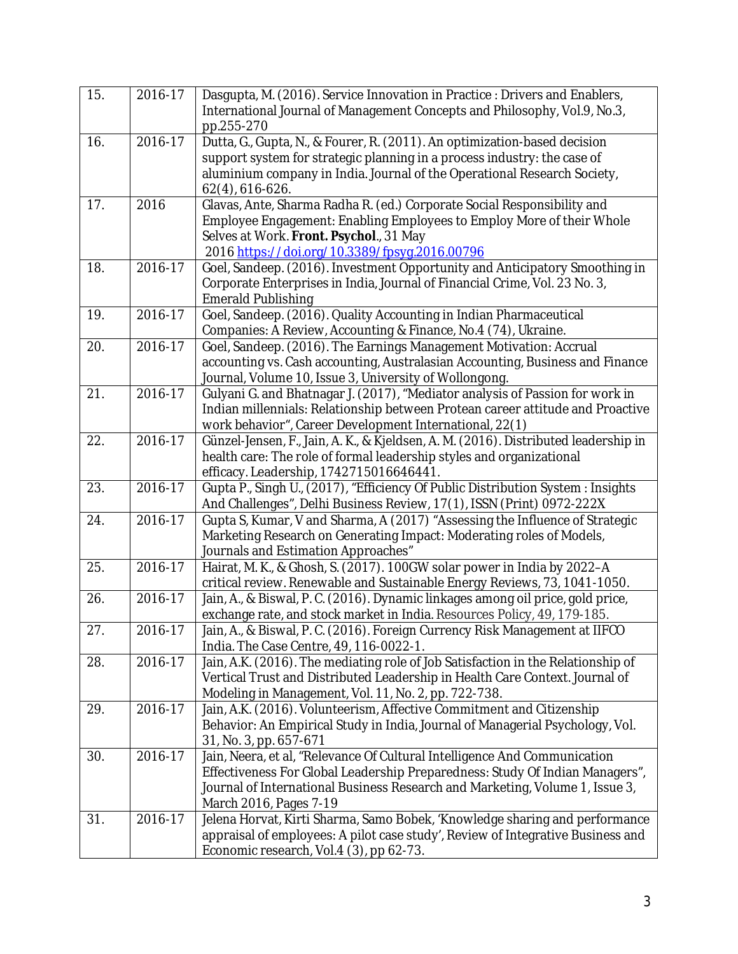| 15. | 2016-17 | Dasgupta, M. (2016). Service Innovation in Practice: Drivers and Enablers,<br>International Journal of Management Concepts and Philosophy, Vol.9, No.3,      |
|-----|---------|--------------------------------------------------------------------------------------------------------------------------------------------------------------|
| 16. | 2016-17 | pp.255-270                                                                                                                                                   |
|     |         | Dutta, G., Gupta, N., & Fourer, R. (2011). An optimization-based decision                                                                                    |
|     |         | support system for strategic planning in a process industry: the case of<br>aluminium company in India. Journal of the Operational Research Society,         |
|     |         | 62(4), 616-626.                                                                                                                                              |
| 17. | 2016    | Glavas, Ante, Sharma Radha R. (ed.) Corporate Social Responsibility and                                                                                      |
|     |         | Employee Engagement: Enabling Employees to Employ More of their Whole                                                                                        |
|     |         | Selves at Work. Front. Psychol., 31 May                                                                                                                      |
|     |         | 2016 https://doi.org/10.3389/fpsyg.2016.00796                                                                                                                |
| 18. | 2016-17 | Goel, Sandeep. (2016). Investment Opportunity and Anticipatory Smoothing in                                                                                  |
|     |         | Corporate Enterprises in India, Journal of Financial Crime, Vol. 23 No. 3,                                                                                   |
|     |         | <b>Emerald Publishing</b>                                                                                                                                    |
| 19. | 2016-17 | Goel, Sandeep. (2016). Quality Accounting in Indian Pharmaceutical                                                                                           |
|     |         | Companies: A Review, Accounting & Finance, No.4 (74), Ukraine.                                                                                               |
| 20. | 2016-17 | Goel, Sandeep. (2016). The Earnings Management Motivation: Accrual                                                                                           |
|     |         | accounting vs. Cash accounting, Australasian Accounting, Business and Finance                                                                                |
|     |         | Journal, Volume 10, Issue 3, University of Wollongong.                                                                                                       |
| 21. | 2016-17 | Gulyani G. and Bhatnagar J. (2017), "Mediator analysis of Passion for work in                                                                                |
|     |         | Indian millennials: Relationship between Protean career attitude and Proactive                                                                               |
|     |         | work behavior", Career Development International, 22(1)                                                                                                      |
| 22. | 2016-17 | Günzel-Jensen, F., Jain, A. K., & Kjeldsen, A. M. (2016). Distributed leadership in                                                                          |
|     |         | health care: The role of formal leadership styles and organizational                                                                                         |
|     |         | efficacy. Leadership, 1742715016646441.                                                                                                                      |
| 23. | 2016-17 | Gupta P., Singh U., (2017), "Efficiency Of Public Distribution System: Insights                                                                              |
| 24. | 2016-17 | And Challenges", Delhi Business Review, 17(1), ISSN (Print) 0972-222X<br>Gupta S, Kumar, V and Sharma, A (2017) "Assessing the Influence of Strategic        |
|     |         | Marketing Research on Generating Impact: Moderating roles of Models,                                                                                         |
|     |         | Journals and Estimation Approaches"                                                                                                                          |
| 25. | 2016-17 | Hairat, M. K., & Ghosh, S. (2017). 100GW solar power in India by 2022-A                                                                                      |
|     |         | critical review. Renewable and Sustainable Energy Reviews, 73, 1041-1050.                                                                                    |
| 26. | 2016-17 | Jain, A., & Biswal, P.C. (2016). Dynamic linkages among oil price, gold price,                                                                               |
|     |         | exchange rate, and stock market in India. Resources Policy, 49, 179-185.                                                                                     |
| 27. | 2016-17 | Jain, A., & Biswal, P. C. (2016). Foreign Currency Risk Management at IIFCO                                                                                  |
|     |         | India. The Case Centre, 49, 116-0022-1.                                                                                                                      |
| 28. | 2016-17 | Jain, A.K. (2016). The mediating role of Job Satisfaction in the Relationship of                                                                             |
|     |         | Vertical Trust and Distributed Leadership in Health Care Context. Journal of                                                                                 |
|     |         | Modeling in Management, Vol. 11, No. 2, pp. 722-738.                                                                                                         |
| 29. | 2016-17 | Jain, A.K. (2016). Volunteerism, Affective Commitment and Citizenship                                                                                        |
|     |         | Behavior: An Empirical Study in India, Journal of Managerial Psychology, Vol.                                                                                |
|     | 2016-17 | 31, No. 3, pp. 657-671                                                                                                                                       |
| 30. |         | Jain, Neera, et al, "Relevance Of Cultural Intelligence And Communication                                                                                    |
|     |         | Effectiveness For Global Leadership Preparedness: Study Of Indian Managers",<br>Journal of International Business Research and Marketing, Volume 1, Issue 3, |
|     |         | March 2016, Pages 7-19                                                                                                                                       |
| 31. | 2016-17 | Jelena Horvat, Kirti Sharma, Samo Bobek, 'Knowledge sharing and performance                                                                                  |
|     |         | appraisal of employees: A pilot case study', Review of Integrative Business and                                                                              |
|     |         | Economic research, Vol.4 (3), pp 62-73.                                                                                                                      |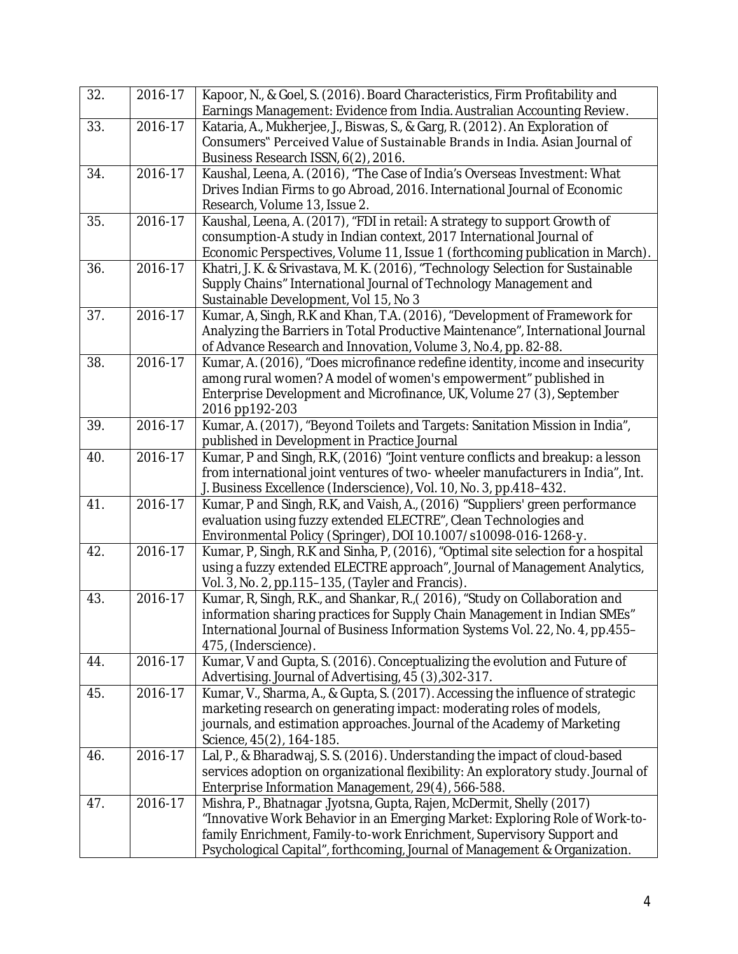| 32. | 2016-17     | Kapoor, N., & Goel, S. (2016). Board Characteristics, Firm Profitability and<br>Earnings Management: Evidence from India. Australian Accounting Review.                                                                                                                                                    |
|-----|-------------|------------------------------------------------------------------------------------------------------------------------------------------------------------------------------------------------------------------------------------------------------------------------------------------------------------|
| 33. | $2016 - 17$ | Kataria, A., Mukherjee, J., Biswas, S., & Garg, R. (2012). An Exploration of<br>Consumers" Perceived Value of Sustainable Brands in India. Asian Journal of<br>Business Research ISSN, 6(2), 2016.                                                                                                         |
| 34. | 2016-17     | Kaushal, Leena, A. (2016), "The Case of India's Overseas Investment: What<br>Drives Indian Firms to go Abroad, 2016. International Journal of Economic<br>Research, Volume 13, Issue 2.                                                                                                                    |
| 35. | 2016-17     | Kaushal, Leena, A. (2017), "FDI in retail: A strategy to support Growth of<br>consumption-A study in Indian context, 2017 International Journal of<br>Economic Perspectives, Volume 11, Issue 1 (forthcoming publication in March).                                                                        |
| 36. | 2016-17     | Khatri, J. K. & Srivastava, M. K. (2016), "Technology Selection for Sustainable<br>Supply Chains" International Journal of Technology Management and<br>Sustainable Development, Vol 15, No 3                                                                                                              |
| 37. | $2016 - 17$ | Kumar, A, Singh, R.K and Khan, T.A. (2016), "Development of Framework for<br>Analyzing the Barriers in Total Productive Maintenance", International Journal<br>of Advance Research and Innovation, Volume 3, No.4, pp. 82-88.                                                                              |
| 38. | 2016-17     | Kumar, A. (2016), "Does microfinance redefine identity, income and insecurity<br>among rural women? A model of women's empowerment" published in<br>Enterprise Development and Microfinance, UK, Volume 27 (3), September<br>2016 pp192-203                                                                |
| 39. | 2016-17     | Kumar, A. (2017), "Beyond Toilets and Targets: Sanitation Mission in India",<br>published in Development in Practice Journal                                                                                                                                                                               |
| 40. | $2016 - 17$ | Kumar, P and Singh, R.K. (2016) "Joint venture conflicts and breakup: a lesson<br>from international joint ventures of two-wheeler manufacturers in India", Int.<br>J. Business Excellence (Inderscience), Vol. 10, No. 3, pp.418-432.                                                                     |
| 41. | 2016-17     | Kumar, P and Singh, R.K, and Vaish, A., (2016) "Suppliers' green performance<br>evaluation using fuzzy extended ELECTRE", Clean Technologies and<br>Environmental Policy (Springer), DOI 10.1007/s10098-016-1268-y.                                                                                        |
| 42. | 2016-17     | Kumar, P, Singh, R.K and Sinha, P, (2016), "Optimal site selection for a hospital<br>using a fuzzy extended ELECTRE approach", Journal of Management Analytics,<br>Vol. 3, No. 2, pp.115-135, (Tayler and Francis).                                                                                        |
| 43. | 2016-17     | Kumar, R, Singh, R.K., and Shankar, R., (2016), "Study on Collaboration and<br>information sharing practices for Supply Chain Management in Indian SMEs"<br>International Journal of Business Information Systems Vol. 22, No. 4, pp.455-<br>475, (Inderscience).                                          |
| 44. | 2016-17     | Kumar, V and Gupta, S. (2016). Conceptualizing the evolution and Future of<br>Advertising. Journal of Advertising, 45 (3), 302-317.                                                                                                                                                                        |
| 45. | 2016-17     | Kumar, V., Sharma, A., & Gupta, S. (2017). Accessing the influence of strategic<br>marketing research on generating impact: moderating roles of models,<br>journals, and estimation approaches. Journal of the Academy of Marketing<br>Science, 45(2), 164-185.                                            |
| 46. | 2016-17     | Lal, P., & Bharadwaj, S. S. (2016). Understanding the impact of cloud-based<br>services adoption on organizational flexibility: An exploratory study. Journal of<br>Enterprise Information Management, 29(4), 566-588.                                                                                     |
| 47. | 2016-17     | Mishra, P., Bhatnagar Jyotsna, Gupta, Rajen, McDermit, Shelly (2017)<br>"Innovative Work Behavior in an Emerging Market: Exploring Role of Work-to-<br>family Enrichment, Family-to-work Enrichment, Supervisory Support and<br>Psychological Capital", forthcoming, Journal of Management & Organization. |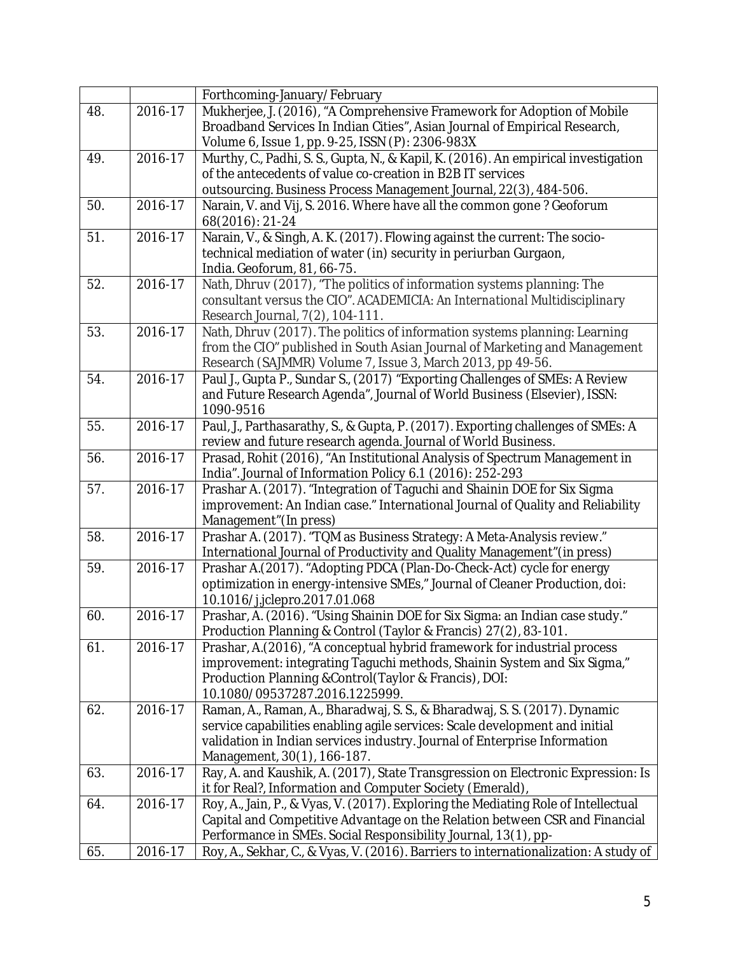|     |             | Forthcoming-January/February                                                                     |
|-----|-------------|--------------------------------------------------------------------------------------------------|
| 48. | 2016-17     | Mukherjee, J. (2016), "A Comprehensive Framework for Adoption of Mobile                          |
|     |             | Broadband Services In Indian Cities", Asian Journal of Empirical Research,                       |
|     |             | Volume 6, Issue 1, pp. 9-25, ISSN (P): 2306-983X                                                 |
| 49. | $2016 - 17$ | Murthy, C., Padhi, S. S., Gupta, N., & Kapil, K. (2016). An empirical investigation              |
|     |             | of the antecedents of value co-creation in B2B IT services                                       |
|     |             | outsourcing. Business Process Management Journal, 22(3), 484-506.                                |
| 50. | 2016-17     | Narain, V. and Vij, S. 2016. Where have all the common gone? Geoforum                            |
|     |             | 68(2016): 21-24                                                                                  |
| 51. | $2016 - 17$ | Narain, V., & Singh, A. K. (2017). Flowing against the current: The socio-                       |
|     |             | technical mediation of water (in) security in periurban Gurgaon,                                 |
|     |             | India. Geoforum, 81, 66-75.                                                                      |
| 52. | 2016-17     | Nath, Dhruv (2017), "The politics of information systems planning: The                           |
|     |             | consultant versus the CIO". ACADEMICIA: An International Multidisciplinary                       |
|     |             | Research Journal, 7(2), 104-111.                                                                 |
| 53. | 2016-17     | Nath, Dhruv (2017). The politics of information systems planning: Learning                       |
|     |             | from the CIO" published in South Asian Journal of Marketing and Management                       |
|     |             | Research (SAJMMR) Volume 7, Issue 3, March 2013, pp 49-56.                                       |
| 54. | 2016-17     | Paul J., Gupta P., Sundar S., (2017) "Exporting Challenges of SMEs: A Review                     |
|     |             | and Future Research Agenda", Journal of World Business (Elsevier), ISSN:                         |
|     |             | 1090-9516                                                                                        |
| 55. | 2016-17     | Paul, J., Parthasarathy, S., & Gupta, P. (2017). Exporting challenges of SMEs: A                 |
|     |             | review and future research agenda. Journal of World Business.                                    |
| 56. | 2016-17     | Prasad, Rohit (2016), "An Institutional Analysis of Spectrum Management in                       |
|     |             | India". Journal of Information Policy 6.1 (2016): 252-293                                        |
| 57. | $2016 - 17$ | Prashar A. (2017). "Integration of Taguchi and Shainin DOE for Six Sigma                         |
|     |             | improvement: An Indian case." International Journal of Quality and Reliability                   |
| 58. | 2016-17     | Management" (In press)<br>Prashar A. (2017). "TQM as Business Strategy: A Meta-Analysis review." |
|     |             | International Journal of Productivity and Quality Management" (in press)                         |
| 59. | 2016-17     | Prashar A.(2017). "Adopting PDCA (Plan-Do-Check-Act) cycle for energy                            |
|     |             | optimization in energy-intensive SMEs," Journal of Cleaner Production, doi:                      |
|     |             | 10.1016/j.jclepro.2017.01.068                                                                    |
| 60. | 2016-17     | Prashar, A. (2016). "Using Shainin DOE for Six Sigma: an Indian case study."                     |
|     |             | Production Planning & Control (Taylor & Francis) 27(2), 83-101.                                  |
| 61. | 2016-17     | Prashar, A.(2016), "A conceptual hybrid framework for industrial process                         |
|     |             | improvement: integrating Taguchi methods, Shainin System and Six Sigma,"                         |
|     |             | Production Planning & Control (Taylor & Francis), DOI:                                           |
|     |             | 10.1080/09537287.2016.1225999.                                                                   |
| 62. | 2016-17     | Raman, A., Raman, A., Bharadwaj, S. S., & Bharadwaj, S. S. (2017). Dynamic                       |
|     |             | service capabilities enabling agile services: Scale development and initial                      |
|     |             | validation in Indian services industry. Journal of Enterprise Information                        |
|     |             | Management, 30(1), 166-187.                                                                      |
| 63. | 2016-17     | Ray, A. and Kaushik, A. (2017), State Transgression on Electronic Expression: Is                 |
|     |             | it for Real?, Information and Computer Society (Emerald),                                        |
| 64. | 2016-17     | Roy, A., Jain, P., & Vyas, V. (2017). Exploring the Mediating Role of Intellectual               |
|     |             | Capital and Competitive Advantage on the Relation between CSR and Financial                      |
|     |             | Performance in SMEs. Social Responsibility Journal, 13(1), pp-                                   |
| 65. | 2016-17     | Roy, A., Sekhar, C., & Vyas, V. (2016). Barriers to internationalization: A study of             |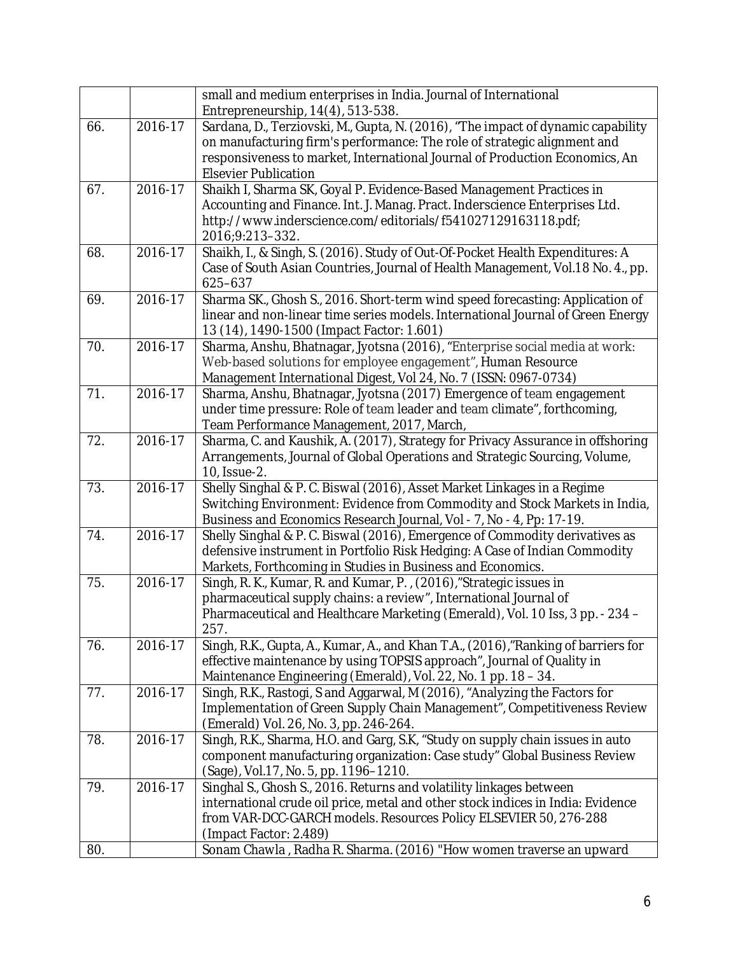|     |             | small and medium enterprises in India. Journal of International<br>Entrepreneurship, 14(4), 513-538.                                                   |
|-----|-------------|--------------------------------------------------------------------------------------------------------------------------------------------------------|
| 66. | 2016-17     | Sardana, D., Terziovski, M., Gupta, N. (2016), "The impact of dynamic capability                                                                       |
|     |             | on manufacturing firm's performance: The role of strategic alignment and                                                                               |
|     |             | responsiveness to market, International Journal of Production Economics, An                                                                            |
|     |             | <b>Elsevier Publication</b>                                                                                                                            |
| 67. | 2016-17     | Shaikh I, Sharma SK, Goyal P. Evidence-Based Management Practices in                                                                                   |
|     |             | Accounting and Finance. Int. J. Manag. Pract. Inderscience Enterprises Ltd.                                                                            |
|     |             | http://www.inderscience.com/editorials/f541027129163118.pdf;<br>2016;9:213-332.                                                                        |
| 68. | 2016-17     | Shaikh, I., & Singh, S. (2016). Study of Out-Of-Pocket Health Expenditures: A                                                                          |
|     |             | Case of South Asian Countries, Journal of Health Management, Vol.18 No. 4., pp.                                                                        |
|     |             | 625-637                                                                                                                                                |
| 69. | $2016 - 17$ | Sharma SK., Ghosh S., 2016. Short-term wind speed forecasting: Application of                                                                          |
|     |             | linear and non-linear time series models. International Journal of Green Energy                                                                        |
|     |             | 13 (14), 1490-1500 (Impact Factor: 1.601)                                                                                                              |
| 70. | 2016-17     | Sharma, Anshu, Bhatnagar, Jyotsna (2016), "Enterprise social media at work:                                                                            |
|     |             | Web-based solutions for employee engagement", Human Resource                                                                                           |
| 71. | 2016-17     | Management International Digest, Vol 24, No. 7 (ISSN: 0967-0734)                                                                                       |
|     |             | Sharma, Anshu, Bhatnagar, Jyotsna (2017) Emergence of team engagement<br>under time pressure: Role of team leader and team climate", forthcoming,      |
|     |             | Team Performance Management, 2017, March,                                                                                                              |
| 72. | 2016-17     | Sharma, C. and Kaushik, A. (2017), Strategy for Privacy Assurance in offshoring                                                                        |
|     |             | Arrangements, Journal of Global Operations and Strategic Sourcing, Volume,                                                                             |
|     |             | 10, Issue-2.                                                                                                                                           |
| 73. | $2016 - 17$ | Shelly Singhal & P. C. Biswal (2016), Asset Market Linkages in a Regime                                                                                |
|     |             | Switching Environment: Evidence from Commodity and Stock Markets in India,                                                                             |
|     |             | Business and Economics Research Journal, Vol - 7, No - 4, Pp: 17-19.                                                                                   |
| 74. | 2016-17     | Shelly Singhal & P. C. Biswal (2016), Emergence of Commodity derivatives as                                                                            |
|     |             | defensive instrument in Portfolio Risk Hedging: A Case of Indian Commodity                                                                             |
|     |             | Markets, Forthcoming in Studies in Business and Economics.                                                                                             |
| 75. | $2016 - 17$ | Singh, R. K., Kumar, R. and Kumar, P., (2016), "Strategic issues in                                                                                    |
|     |             | pharmaceutical supply chains: a review", International Journal of                                                                                      |
|     |             | Pharmaceutical and Healthcare Marketing (Emerald), Vol. 10 Iss, 3 pp. - 234 -<br>257.                                                                  |
| 76. | 2016-17     | Singh, R.K., Gupta, A., Kumar, A., and Khan T.A., (2016),"Ranking of barriers for                                                                      |
|     |             | effective maintenance by using TOPSIS approach", Journal of Quality in                                                                                 |
|     |             | Maintenance Engineering (Emerald), Vol. 22, No. 1 pp. 18 - 34.                                                                                         |
| 77. | 2016-17     | Singh, R.K., Rastogi, S and Aggarwal, M (2016), "Analyzing the Factors for                                                                             |
|     |             | Implementation of Green Supply Chain Management", Competitiveness Review                                                                               |
|     |             | (Emerald) Vol. 26, No. 3, pp. 246-264.                                                                                                                 |
| 78. | 2016-17     | Singh, R.K., Sharma, H.O. and Garg, S.K, "Study on supply chain issues in auto                                                                         |
|     |             | component manufacturing organization: Case study" Global Business Review                                                                               |
|     |             | (Sage), Vol.17, No. 5, pp. 1196-1210.                                                                                                                  |
| 79. | 2016-17     | Singhal S., Ghosh S., 2016. Returns and volatility linkages between<br>international crude oil price, metal and other stock indices in India: Evidence |
|     |             | from VAR-DCC-GARCH models. Resources Policy ELSEVIER 50, 276-288                                                                                       |
|     |             | (Impact Factor: 2.489)                                                                                                                                 |
| 80. |             | Sonam Chawla, Radha R. Sharma. (2016) "How women traverse an upward                                                                                    |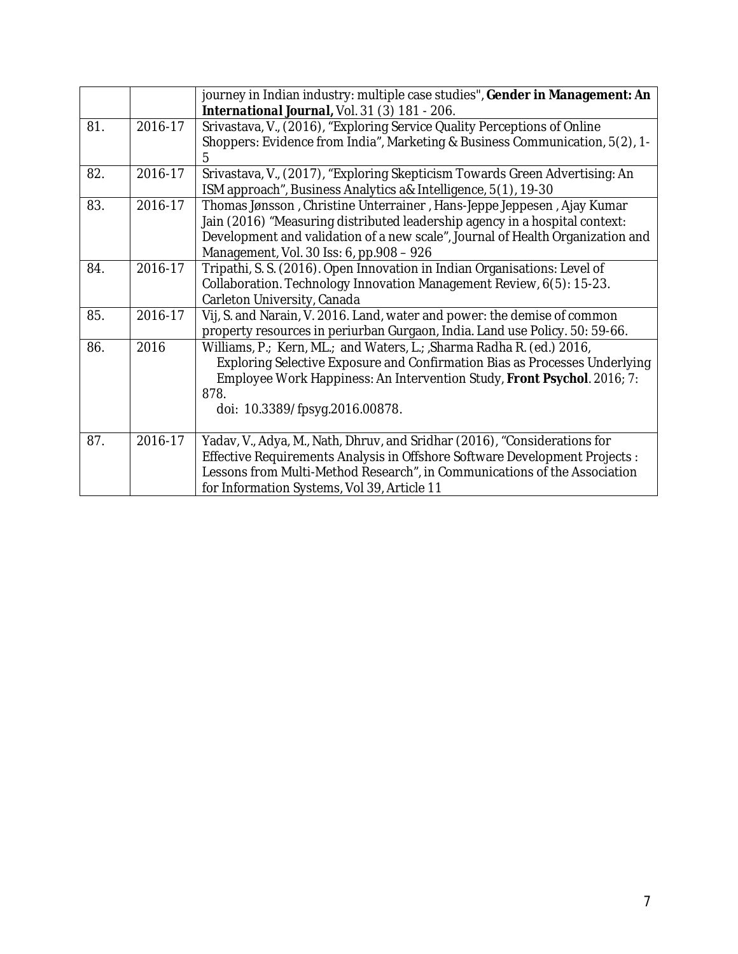|     |         | journey in Indian industry: multiple case studies", Gender in Management: An<br>International Journal, Vol. 31 (3) 181 - 206.                                                                                                                                                        |
|-----|---------|--------------------------------------------------------------------------------------------------------------------------------------------------------------------------------------------------------------------------------------------------------------------------------------|
| 81. | 2016-17 | Srivastava, V., (2016), "Exploring Service Quality Perceptions of Online<br>Shoppers: Evidence from India", Marketing & Business Communication, 5(2), 1-<br>5                                                                                                                        |
| 82. | 2016-17 | Srivastava, V., (2017), "Exploring Skepticism Towards Green Advertising: An<br>ISM approach", Business Analytics a& Intelligence, 5(1), 19-30                                                                                                                                        |
| 83. | 2016-17 | Thomas Jønsson, Christine Unterrainer, Hans-Jeppe Jeppesen, Ajay Kumar<br>Jain (2016) "Measuring distributed leadership agency in a hospital context:<br>Development and validation of a new scale", Journal of Health Organization and<br>Management, Vol. 30 Iss: 6, pp.908 - 926  |
| 84. | 2016-17 | Tripathi, S. S. (2016). Open Innovation in Indian Organisations: Level of<br>Collaboration. Technology Innovation Management Review, 6(5): 15-23.<br>Carleton University, Canada                                                                                                     |
| 85. | 2016-17 | Vij, S. and Narain, V. 2016. Land, water and power: the demise of common<br>property resources in periurban Gurgaon, India. Land use Policy. 50: 59-66.                                                                                                                              |
| 86. | 2016    | Williams, P.; Kern, ML.; and Waters, L.; Sharma Radha R. (ed.) 2016,<br>Exploring Selective Exposure and Confirmation Bias as Processes Underlying<br>Employee Work Happiness: An Intervention Study, Front Psychol. 2016; 7:<br>878.<br>doi: 10.3389/fpsyg.2016.00878.              |
| 87. | 2016-17 | Yadav, V., Adya, M., Nath, Dhruv, and Sridhar (2016), "Considerations for<br>Effective Requirements Analysis in Offshore Software Development Projects :<br>Lessons from Multi-Method Research", in Communications of the Association<br>for Information Systems, Vol 39, Article 11 |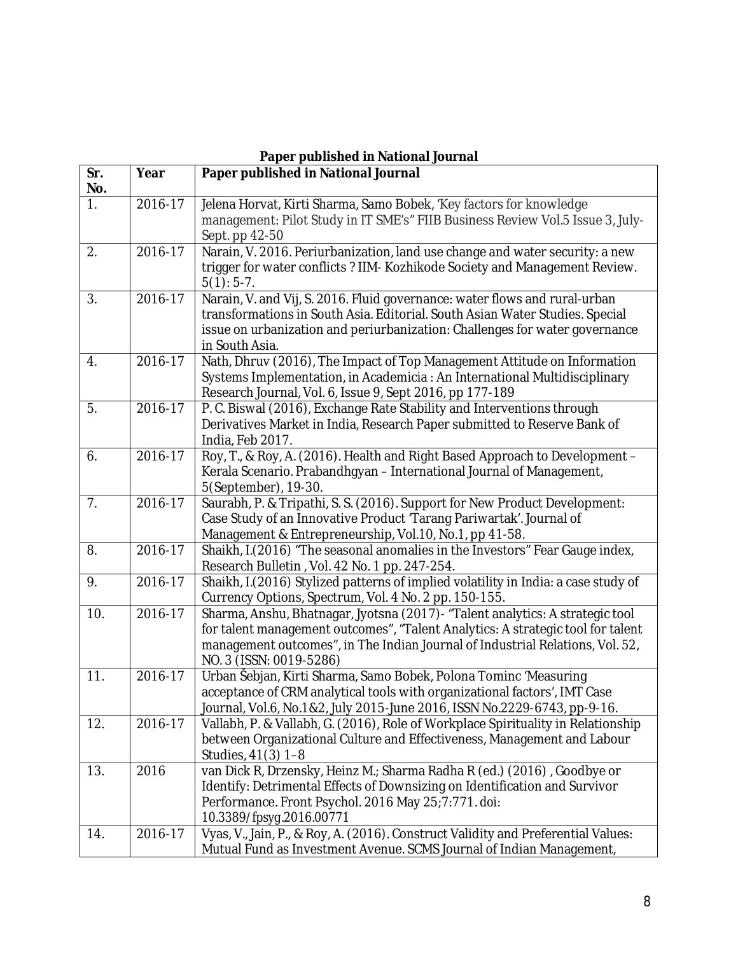| Paper published in National Journal |             |                                                                                                                                                                                                                                                                               |
|-------------------------------------|-------------|-------------------------------------------------------------------------------------------------------------------------------------------------------------------------------------------------------------------------------------------------------------------------------|
| Sr.<br>No.                          | Year        | Paper published in National Journal                                                                                                                                                                                                                                           |
| 1.                                  | 2016-17     | Jelena Horvat, Kirti Sharma, Samo Bobek, 'Key factors for knowledge<br>management: Pilot Study in IT SME's" FIIB Business Review Vol.5 Issue 3, July-<br>Sept. pp 42-50                                                                                                       |
| 2.                                  | 2016-17     | Narain, V. 2016. Periurbanization, land use change and water security: a new<br>trigger for water conflicts? IIM- Kozhikode Society and Management Review.<br>$5(1): 5-7.$                                                                                                    |
| 3.                                  | 2016-17     | Narain, V. and Vij, S. 2016. Fluid governance: water flows and rural-urban<br>transformations in South Asia. Editorial. South Asian Water Studies. Special<br>issue on urbanization and periurbanization: Challenges for water governance<br>in South Asia.                   |
| $\boldsymbol{4}$ .                  | $2016 - 17$ | Nath, Dhruv (2016), The Impact of Top Management Attitude on Information<br>Systems Implementation, in Academicia : An International Multidisciplinary<br>Research Journal, Vol. 6, Issue 9, Sept 2016, pp 177-189                                                            |
| 5.                                  | 2016-17     | P. C. Biswal (2016), Exchange Rate Stability and Interventions through<br>Derivatives Market in India, Research Paper submitted to Reserve Bank of<br>India, Feb 2017.                                                                                                        |
| 6.                                  | 2016-17     | Roy, T., & Roy, A. (2016). Health and Right Based Approach to Development -<br>Kerala Scenario. Prabandhgyan - International Journal of Management,<br>5(September), 19-30.                                                                                                   |
| 7.                                  | 2016-17     | Saurabh, P. & Tripathi, S. S. (2016). Support for New Product Development:<br>Case Study of an Innovative Product 'Tarang Pariwartak'. Journal of<br>Management & Entrepreneurship, Vol.10, No.1, pp 41-58.                                                                   |
| 8.                                  | 2016-17     | Shaikh, I.(2016) "The seasonal anomalies in the Investors" Fear Gauge index,<br>Research Bulletin, Vol. 42 No. 1 pp. 247-254.                                                                                                                                                 |
| 9.                                  | 2016-17     | Shaikh, I.(2016) Stylized patterns of implied volatility in India: a case study of<br>Currency Options, Spectrum, Vol. 4 No. 2 pp. 150-155.                                                                                                                                   |
| 10.                                 | 2016-17     | Sharma, Anshu, Bhatnagar, Jyotsna (2017) - "Talent analytics: A strategic tool<br>for talent management outcomes", "Talent Analytics: A strategic tool for talent<br>management outcomes", in The Indian Journal of Industrial Relations, Vol. 52,<br>NO. 3 (ISSN: 0019-5286) |
| 11.                                 | 2016-17     | Urban Šebjan, Kirti Sharma, Samo Bobek, Polona Tominc 'Measuring<br>acceptance of CRM analytical tools with organizational factors', IMT Case<br>Journal, Vol.6, No.1&2, July 2015-June 2016, ISSN No.2229-6743, pp-9-16.                                                     |
| 12.                                 | 2016-17     | Vallabh, P. & Vallabh, G. (2016), Role of Workplace Spirituality in Relationship<br>between Organizational Culture and Effectiveness, Management and Labour<br>Studies, 41(3) 1-8                                                                                             |
| 13.                                 | 2016        | van Dick R, Drzensky, Heinz M .; Sharma Radha R (ed.) (2016), Goodbye or<br>Identify: Detrimental Effects of Downsizing on Identification and Survivor<br>Performance. Front Psychol. 2016 May 25;7:771. doi:<br>10.3389/fpsyg.2016.00771                                     |
| 14.                                 | 2016-17     | Vyas, V., Jain, P., & Roy, A. (2016). Construct Validity and Preferential Values:<br>Mutual Fund as Investment Avenue. SCMS Journal of Indian Management,                                                                                                                     |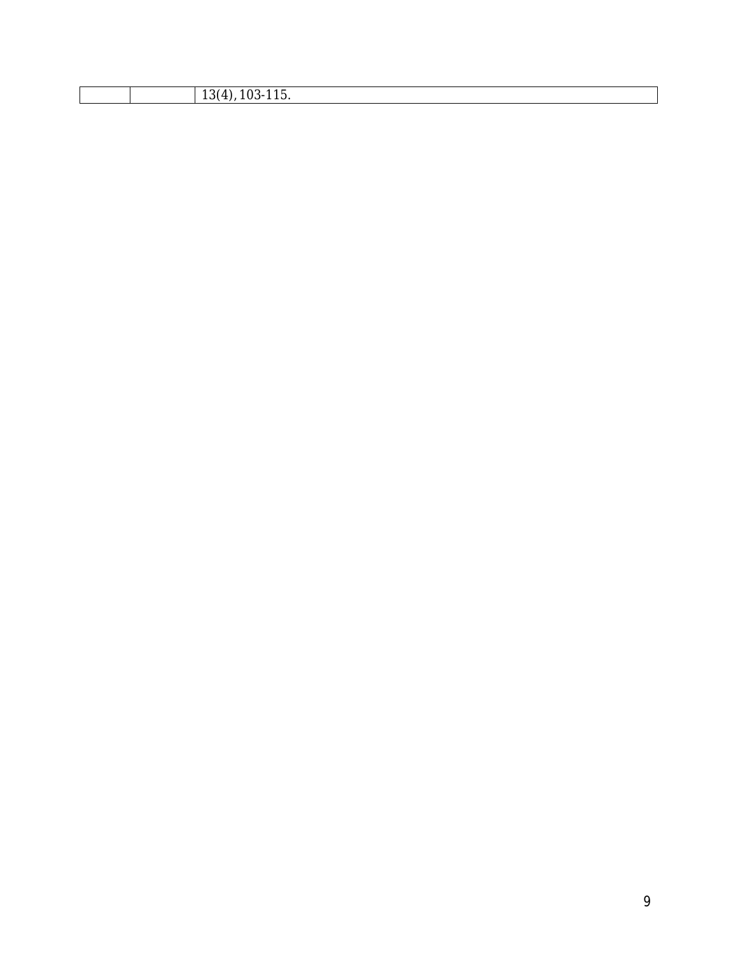|  | ີ |
|--|---|
|  |   |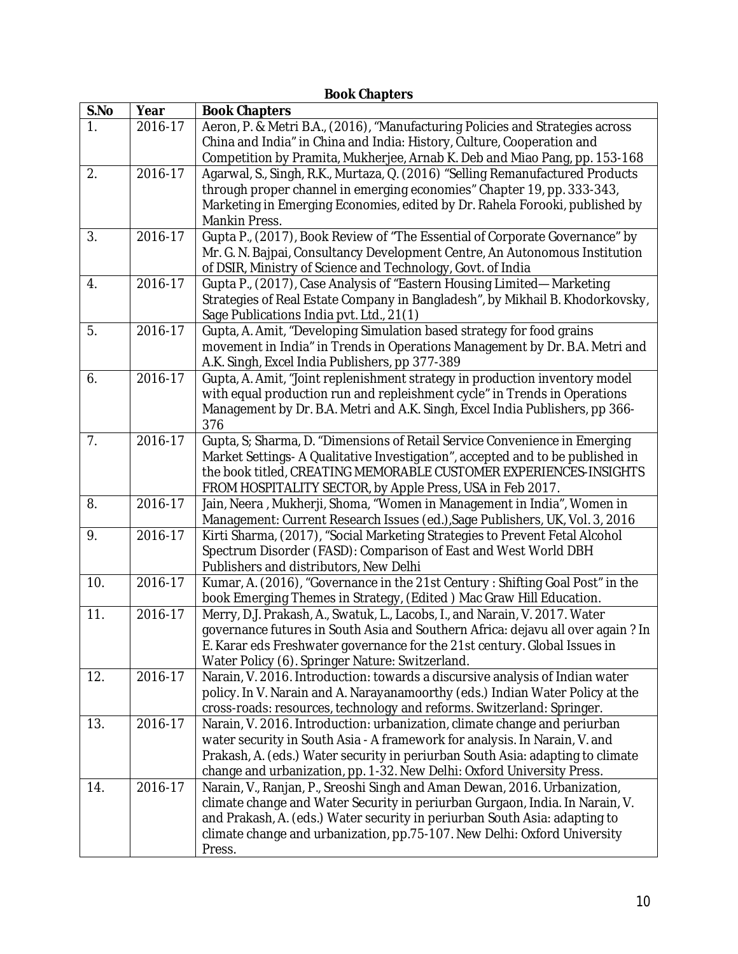|                |         | <b>Book Chapters</b>                                                                                                                                                                                                                                                                                                          |
|----------------|---------|-------------------------------------------------------------------------------------------------------------------------------------------------------------------------------------------------------------------------------------------------------------------------------------------------------------------------------|
| S.No           | Year    | <b>Book Chapters</b>                                                                                                                                                                                                                                                                                                          |
| $\mathbf{1}$ . | 2016-17 | Aeron, P. & Metri B.A., (2016), "Manufacturing Policies and Strategies across<br>China and India" in China and India: History, Culture, Cooperation and                                                                                                                                                                       |
|                |         | Competition by Pramita, Mukherjee, Arnab K. Deb and Miao Pang, pp. 153-168                                                                                                                                                                                                                                                    |
| 2.             | 2016-17 | Agarwal, S., Singh, R.K., Murtaza, Q. (2016) "Selling Remanufactured Products<br>through proper channel in emerging economies" Chapter 19, pp. 333-343,<br>Marketing in Emerging Economies, edited by Dr. Rahela Forooki, published by<br>Mankin Press.                                                                       |
| 3.             | 2016-17 | Gupta P., (2017), Book Review of "The Essential of Corporate Governance" by<br>Mr. G. N. Bajpai, Consultancy Development Centre, An Autonomous Institution<br>of DSIR, Ministry of Science and Technology, Govt. of India                                                                                                     |
| 4.             | 2016-17 | Gupta P., (2017), Case Analysis of "Eastern Housing Limited—Marketing<br>Strategies of Real Estate Company in Bangladesh", by Mikhail B. Khodorkovsky,<br>Sage Publications India pvt. Ltd., 21(1)                                                                                                                            |
| 5.             | 2016-17 | Gupta, A. Amit, "Developing Simulation based strategy for food grains<br>movement in India" in Trends in Operations Management by Dr. B.A. Metri and<br>A.K. Singh, Excel India Publishers, pp 377-389                                                                                                                        |
| 6.             | 2016-17 | Gupta, A. Amit, "Joint replenishment strategy in production inventory model<br>with equal production run and repleishment cycle" in Trends in Operations<br>Management by Dr. B.A. Metri and A.K. Singh, Excel India Publishers, pp 366-<br>376                                                                               |
| 7.             | 2016-17 | Gupta, S; Sharma, D. "Dimensions of Retail Service Convenience in Emerging<br>Market Settings-A Qualitative Investigation", accepted and to be published in<br>the book titled, CREATING MEMORABLE CUSTOMER EXPERIENCES-INSIGHTS<br>FROM HOSPITALITY SECTOR, by Apple Press, USA in Feb 2017.                                 |
| 8.             | 2016-17 | Jain, Neera, Mukherji, Shoma, "Women in Management in India", Women in<br>Management: Current Research Issues (ed.), Sage Publishers, UK, Vol. 3, 2016                                                                                                                                                                        |
| 9.             | 2016-17 | Kirti Sharma, (2017), "Social Marketing Strategies to Prevent Fetal Alcohol<br>Spectrum Disorder (FASD): Comparison of East and West World DBH<br>Publishers and distributors, New Delhi                                                                                                                                      |
| 10.            | 2016-17 | Kumar, A. (2016), "Governance in the 21st Century: Shifting Goal Post" in the<br>book Emerging Themes in Strategy, (Edited) Mac Graw Hill Education.                                                                                                                                                                          |
| 11.            | 2016-17 | Merry, D.J. Prakash, A., Swatuk, L., Lacobs, I., and Narain, V. 2017. Water<br>governance futures in South Asia and Southern Africa: dejavu all over again? In<br>E. Karar eds Freshwater governance for the 21st century. Global Issues in<br>Water Policy (6). Springer Nature: Switzerland.                                |
| 12.            | 2016-17 | Narain, V. 2016. Introduction: towards a discursive analysis of Indian water<br>policy. In V. Narain and A. Narayanamoorthy (eds.) Indian Water Policy at the<br>cross-roads: resources, technology and reforms. Switzerland: Springer.                                                                                       |
| 13.            | 2016-17 | Narain, V. 2016. Introduction: urbanization, climate change and periurban<br>water security in South Asia - A framework for analysis. In Narain, V. and<br>Prakash, A. (eds.) Water security in periurban South Asia: adapting to climate<br>change and urbanization, pp. 1-32. New Delhi: Oxford University Press.           |
| 14.            | 2016-17 | Narain, V., Ranjan, P., Sreoshi Singh and Aman Dewan, 2016. Urbanization,<br>climate change and Water Security in periurban Gurgaon, India. In Narain, V.<br>and Prakash, A. (eds.) Water security in periurban South Asia: adapting to<br>climate change and urbanization, pp.75-107. New Delhi: Oxford University<br>Press. |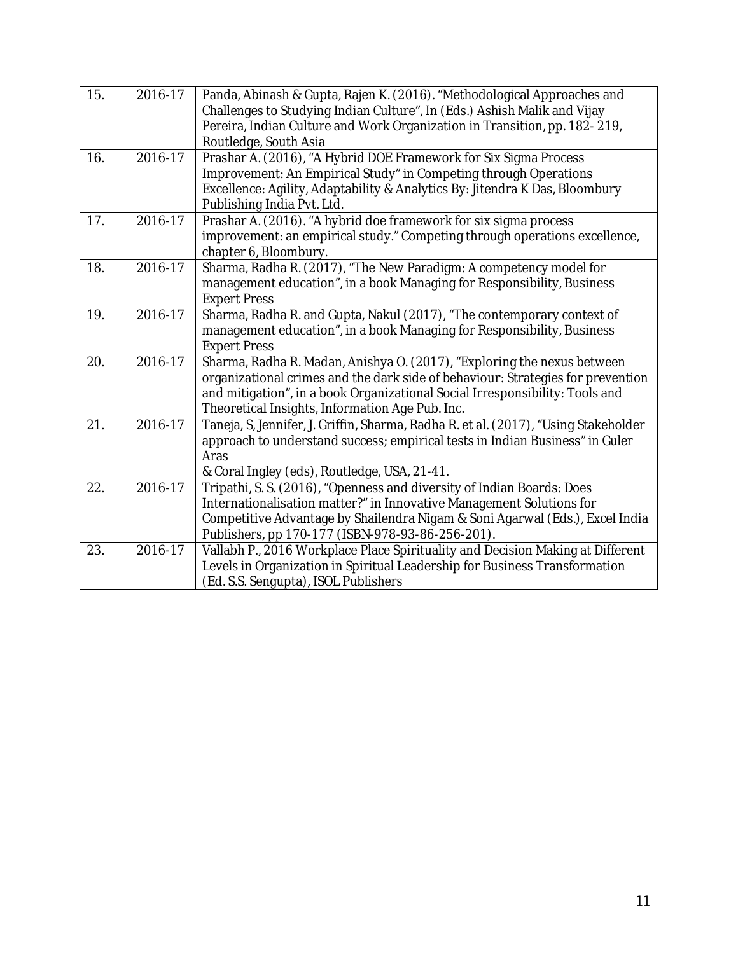| 15. | 2016-17     | Panda, Abinash & Gupta, Rajen K. (2016). "Methodological Approaches and<br>Challenges to Studying Indian Culture", In (Eds.) Ashish Malik and Vijay<br>Pereira, Indian Culture and Work Organization in Transition, pp. 182-219,<br>Routledge, South Asia                                     |
|-----|-------------|-----------------------------------------------------------------------------------------------------------------------------------------------------------------------------------------------------------------------------------------------------------------------------------------------|
| 16. | 2016-17     | Prashar A. (2016), "A Hybrid DOE Framework for Six Sigma Process<br>Improvement: An Empirical Study" in Competing through Operations<br>Excellence: Agility, Adaptability & Analytics By: Jitendra K Das, Bloombury<br>Publishing India Pvt. Ltd.                                             |
| 17. | 2016-17     | Prashar A. (2016). "A hybrid doe framework for six sigma process<br>improvement: an empirical study." Competing through operations excellence,<br>chapter 6, Bloombury.                                                                                                                       |
| 18. | 2016-17     | Sharma, Radha R. (2017), "The New Paradigm: A competency model for<br>management education", in a book Managing for Responsibility, Business<br><b>Expert Press</b>                                                                                                                           |
| 19. | 2016-17     | Sharma, Radha R. and Gupta, Nakul (2017), "The contemporary context of<br>management education", in a book Managing for Responsibility, Business<br><b>Expert Press</b>                                                                                                                       |
| 20. | 2016-17     | Sharma, Radha R. Madan, Anishya O. (2017), "Exploring the nexus between<br>organizational crimes and the dark side of behaviour: Strategies for prevention<br>and mitigation", in a book Organizational Social Irresponsibility: Tools and<br>Theoretical Insights, Information Age Pub. Inc. |
| 21. | 2016-17     | Taneja, S, Jennifer, J. Griffin, Sharma, Radha R. et al. (2017), "Using Stakeholder<br>approach to understand success; empirical tests in Indian Business" in Guler<br>Aras<br>& Coral Ingley (eds), Routledge, USA, 21-41.                                                                   |
| 22. | $2016 - 17$ | Tripathi, S. S. (2016), "Openness and diversity of Indian Boards: Does<br>Internationalisation matter?" in Innovative Management Solutions for<br>Competitive Advantage by Shailendra Nigam & Soni Agarwal (Eds.), Excel India<br>Publishers, pp 170-177 (ISBN-978-93-86-256-201).            |
| 23. | 2016-17     | Vallabh P., 2016 Workplace Place Spirituality and Decision Making at Different<br>Levels in Organization in Spiritual Leadership for Business Transformation<br>(Ed. S.S. Sengupta), ISOL Publishers                                                                                          |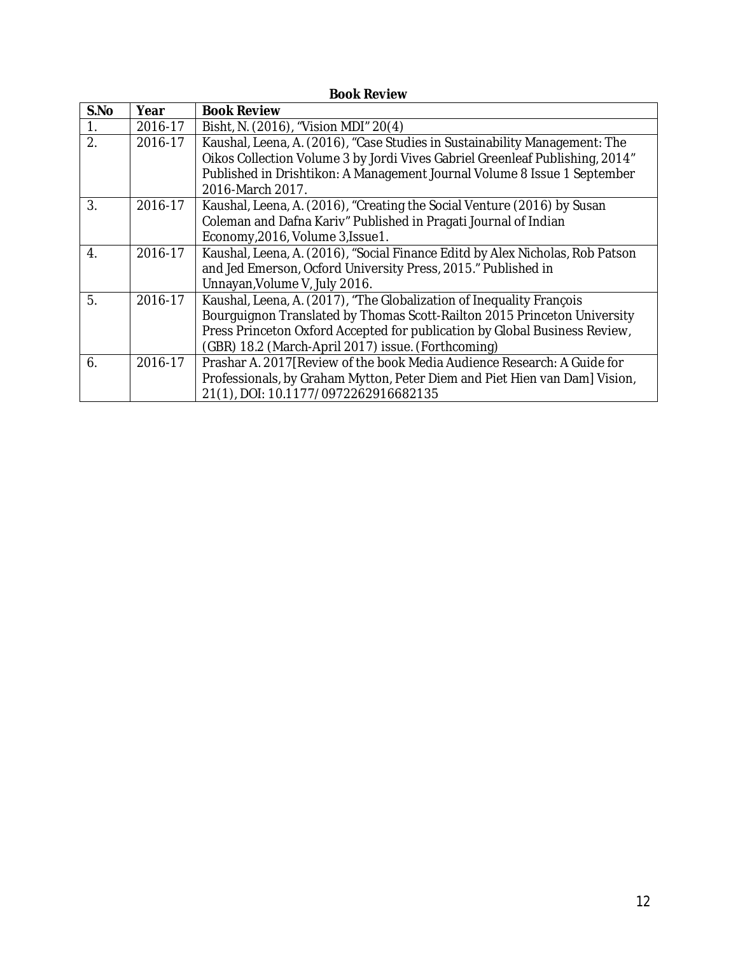| <b>Book Review</b> |         |                                                                                                                                                                                                                                                                                      |  |
|--------------------|---------|--------------------------------------------------------------------------------------------------------------------------------------------------------------------------------------------------------------------------------------------------------------------------------------|--|
| S.No               | Year    | <b>Book Review</b>                                                                                                                                                                                                                                                                   |  |
| $\overline{1}$ .   | 2016-17 | Bisht, N. (2016), "Vision MDI" 20(4)                                                                                                                                                                                                                                                 |  |
| 2.                 | 2016-17 | Kaushal, Leena, A. (2016), "Case Studies in Sustainability Management: The<br>Oikos Collection Volume 3 by Jordi Vives Gabriel Greenleaf Publishing, 2014"                                                                                                                           |  |
|                    |         | Published in Drishtikon: A Management Journal Volume 8 Issue 1 September<br>2016-March 2017.                                                                                                                                                                                         |  |
| 3.                 | 2016-17 | Kaushal, Leena, A. (2016), "Creating the Social Venture (2016) by Susan<br>Coleman and Dafna Kariv" Published in Pragati Journal of Indian<br>Economy, 2016, Volume 3, Issue 1.                                                                                                      |  |
| $\overline{4}$ .   | 2016-17 | Kaushal, Leena, A. (2016), "Social Finance Editd by Alex Nicholas, Rob Patson<br>and Jed Emerson, Ocford University Press, 2015." Published in<br>Unnayan, Volume V, July 2016.                                                                                                      |  |
| 5.                 | 2016-17 | Kaushal, Leena, A. (2017), "The Globalization of Inequality François<br>Bourguignon Translated by Thomas Scott-Railton 2015 Princeton University<br>Press Princeton Oxford Accepted for publication by Global Business Review,<br>(GBR) 18.2 (March-April 2017) issue. (Forthcoming) |  |
| 6.                 | 2016-17 | Prashar A. 2017 [Review of the book Media Audience Research: A Guide for<br>Professionals, by Graham Mytton, Peter Diem and Piet Hien van Dam] Vision,<br>21(1), DOI: 10.1177/0972262916682135                                                                                       |  |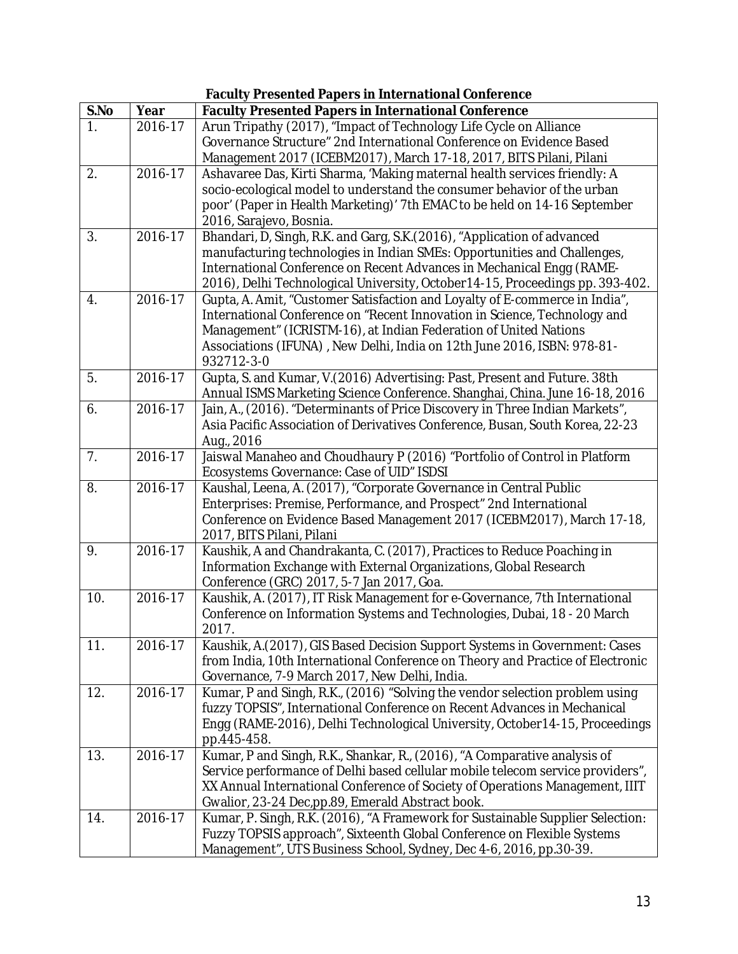|                  | <b>Faculty Presented Papers in International Conference</b> |                                                                                                                                                      |  |  |
|------------------|-------------------------------------------------------------|------------------------------------------------------------------------------------------------------------------------------------------------------|--|--|
| S.No             | Year                                                        | <b>Faculty Presented Papers in International Conference</b>                                                                                          |  |  |
| 1.               | 2016-17                                                     | Arun Tripathy (2017), "Impact of Technology Life Cycle on Alliance                                                                                   |  |  |
|                  |                                                             | Governance Structure" 2nd International Conference on Evidence Based                                                                                 |  |  |
|                  |                                                             | Management 2017 (ICEBM2017), March 17-18, 2017, BITS Pilani, Pilani                                                                                  |  |  |
| 2.               | 2016-17                                                     | Ashavaree Das, Kirti Sharma, 'Making maternal health services friendly: A                                                                            |  |  |
|                  |                                                             | socio-ecological model to understand the consumer behavior of the urban                                                                              |  |  |
|                  |                                                             | poor' (Paper in Health Marketing)' 7th EMAC to be held on 14-16 September                                                                            |  |  |
| 3.               | 2016-17                                                     | 2016, Sarajevo, Bosnia.                                                                                                                              |  |  |
|                  |                                                             | Bhandari, D, Singh, R.K. and Garg, S.K. (2016), "Application of advanced<br>manufacturing technologies in Indian SMEs: Opportunities and Challenges, |  |  |
|                  |                                                             | International Conference on Recent Advances in Mechanical Engg (RAME-                                                                                |  |  |
|                  |                                                             | 2016), Delhi Technological University, October 14-15, Proceedings pp. 393-402.                                                                       |  |  |
| $\overline{4}$ . | $2016 - 17$                                                 | Gupta, A. Amit, "Customer Satisfaction and Loyalty of E-commerce in India",                                                                          |  |  |
|                  |                                                             | International Conference on "Recent Innovation in Science, Technology and                                                                            |  |  |
|                  |                                                             | Management" (ICRISTM-16), at Indian Federation of United Nations                                                                                     |  |  |
|                  |                                                             | Associations (IFUNA), New Delhi, India on 12th June 2016, ISBN: 978-81-                                                                              |  |  |
|                  |                                                             | 932712-3-0                                                                                                                                           |  |  |
| 5.               | 2016-17                                                     | Gupta, S. and Kumar, V.(2016) Advertising: Past, Present and Future. 38th                                                                            |  |  |
|                  |                                                             | Annual ISMS Marketing Science Conference. Shanghai, China. June 16-18, 2016                                                                          |  |  |
| 6.               | 2016-17                                                     | Jain, A., (2016). "Determinants of Price Discovery in Three Indian Markets",                                                                         |  |  |
|                  |                                                             | Asia Pacific Association of Derivatives Conference, Busan, South Korea, 22-23                                                                        |  |  |
|                  |                                                             | Aug., 2016                                                                                                                                           |  |  |
| 7.               | 2016-17                                                     | Jaiswal Manaheo and Choudhaury P (2016) "Portfolio of Control in Platform                                                                            |  |  |
| 8.               | $2016 - 17$                                                 | Ecosystems Governance: Case of UID" ISDSI<br>Kaushal, Leena, A. (2017), "Corporate Governance in Central Public                                      |  |  |
|                  |                                                             | Enterprises: Premise, Performance, and Prospect" 2nd International                                                                                   |  |  |
|                  |                                                             | Conference on Evidence Based Management 2017 (ICEBM2017), March 17-18,                                                                               |  |  |
|                  |                                                             | 2017, BITS Pilani, Pilani                                                                                                                            |  |  |
| 9.               | 2016-17                                                     | Kaushik, A and Chandrakanta, C. (2017), Practices to Reduce Poaching in                                                                              |  |  |
|                  |                                                             | Information Exchange with External Organizations, Global Research                                                                                    |  |  |
|                  |                                                             | Conference (GRC) 2017, 5-7 Jan 2017, Goa.                                                                                                            |  |  |
| 10.              | $2016 - 17$                                                 | Kaushik, A. (2017), IT Risk Management for e-Governance, 7th International                                                                           |  |  |
|                  |                                                             | Conference on Information Systems and Technologies, Dubai, 18 - 20 March                                                                             |  |  |
|                  |                                                             | 2017.                                                                                                                                                |  |  |
| 11.              | 2016-17                                                     | Kaushik, A. (2017), GIS Based Decision Support Systems in Government: Cases                                                                          |  |  |
|                  |                                                             | from India, 10th International Conference on Theory and Practice of Electronic<br>Governance, 7-9 March 2017, New Delhi, India.                      |  |  |
| 12.              | 2016-17                                                     | Kumar, P and Singh, R.K., (2016) "Solving the vendor selection problem using                                                                         |  |  |
|                  |                                                             | fuzzy TOPSIS", International Conference on Recent Advances in Mechanical                                                                             |  |  |
|                  |                                                             | Engg (RAME-2016), Delhi Technological University, October14-15, Proceedings                                                                          |  |  |
|                  |                                                             | pp.445-458.                                                                                                                                          |  |  |
| 13.              | 2016-17                                                     | Kumar, P and Singh, R.K., Shankar, R., (2016), "A Comparative analysis of                                                                            |  |  |
|                  |                                                             | Service performance of Delhi based cellular mobile telecom service providers",                                                                       |  |  |
|                  |                                                             | XX Annual International Conference of Society of Operations Management, IIIT                                                                         |  |  |
|                  |                                                             | Gwalior, 23-24 Dec,pp.89, Emerald Abstract book.                                                                                                     |  |  |
| 14.              | 2016-17                                                     | Kumar, P. Singh, R.K. (2016), "A Framework for Sustainable Supplier Selection:                                                                       |  |  |
|                  |                                                             | Fuzzy TOPSIS approach", Sixteenth Global Conference on Flexible Systems                                                                              |  |  |
|                  |                                                             | Management", UTS Business School, Sydney, Dec 4-6, 2016, pp.30-39.                                                                                   |  |  |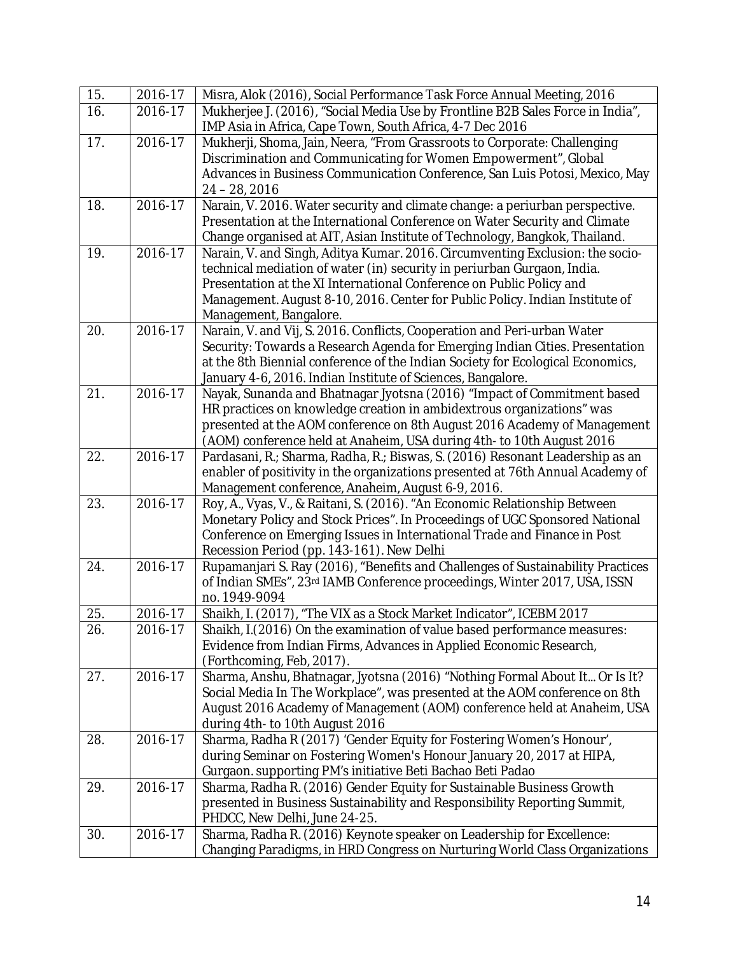| 15. | 2016-17     | Misra, Alok (2016), Social Performance Task Force Annual Meeting, 2016                                 |
|-----|-------------|--------------------------------------------------------------------------------------------------------|
| 16. | 2016-17     | Mukherjee J. (2016), "Social Media Use by Frontline B2B Sales Force in India",                         |
|     |             | IMP Asia in Africa, Cape Town, South Africa, 4-7 Dec 2016                                              |
| 17. | 2016-17     | Mukherji, Shoma, Jain, Neera, "From Grassroots to Corporate: Challenging                               |
|     |             | Discrimination and Communicating for Women Empowerment", Global                                        |
|     |             | Advances in Business Communication Conference, San Luis Potosi, Mexico, May                            |
|     |             | $24 - 28, 2016$                                                                                        |
| 18. | 2016-17     | Narain, V. 2016. Water security and climate change: a periurban perspective.                           |
|     |             | Presentation at the International Conference on Water Security and Climate                             |
|     |             | Change organised at AIT, Asian Institute of Technology, Bangkok, Thailand.                             |
| 19. | $2016 - 17$ | Narain, V. and Singh, Aditya Kumar. 2016. Circumventing Exclusion: the socio-                          |
|     |             | technical mediation of water (in) security in periurban Gurgaon, India.                                |
|     |             | Presentation at the XI International Conference on Public Policy and                                   |
|     |             | Management. August 8-10, 2016. Center for Public Policy. Indian Institute of<br>Management, Bangalore. |
| 20. | 2016-17     | Narain, V. and Vij, S. 2016. Conflicts, Cooperation and Peri-urban Water                               |
|     |             | Security: Towards a Research Agenda for Emerging Indian Cities. Presentation                           |
|     |             | at the 8th Biennial conference of the Indian Society for Ecological Economics,                         |
|     |             | January 4-6, 2016. Indian Institute of Sciences, Bangalore.                                            |
| 21. | 2016-17     | Nayak, Sunanda and Bhatnagar Jyotsna (2016) "Impact of Commitment based                                |
|     |             | HR practices on knowledge creation in ambidextrous organizations" was                                  |
|     |             | presented at the AOM conference on 8th August 2016 Academy of Management                               |
|     |             | (AOM) conference held at Anaheim, USA during 4th- to 10th August 2016                                  |
| 22. | 2016-17     | Pardasani, R.; Sharma, Radha, R.; Biswas, S. (2016) Resonant Leadership as an                          |
|     |             | enabler of positivity in the organizations presented at 76th Annual Academy of                         |
|     |             | Management conference, Anaheim, August 6-9, 2016.                                                      |
| 23. | $2016 - 17$ | Roy, A., Vyas, V., & Raitani, S. (2016). "An Economic Relationship Between                             |
|     |             | Monetary Policy and Stock Prices". In Proceedings of UGC Sponsored National                            |
|     |             | Conference on Emerging Issues in International Trade and Finance in Post                               |
|     |             | Recession Period (pp. 143-161). New Delhi                                                              |
| 24. | 2016-17     | Rupamanjari S. Ray (2016), "Benefits and Challenges of Sustainability Practices                        |
|     |             | of Indian SMEs", 23rd IAMB Conference proceedings, Winter 2017, USA, ISSN<br>no. 1949-9094             |
| 25. | 2016-17     | Shaikh, I. (2017), "The VIX as a Stock Market Indicator", ICEBM 2017                                   |
| 26. | 2016-17     | Shaikh, I. (2016) On the examination of value based performance measures:                              |
|     |             | Evidence from Indian Firms, Advances in Applied Economic Research,                                     |
|     |             | (Forthcoming, Feb, 2017).                                                                              |
| 27. | 2016-17     | Sharma, Anshu, Bhatnagar, Jyotsna (2016) "Nothing Formal About It Or Is It?                            |
|     |             | Social Media In The Workplace", was presented at the AOM conference on 8th                             |
|     |             | August 2016 Academy of Management (AOM) conference held at Anaheim, USA                                |
|     |             | during 4th- to 10th August 2016                                                                        |
| 28. | 2016-17     | Sharma, Radha R (2017) 'Gender Equity for Fostering Women's Honour',                                   |
|     |             | during Seminar on Fostering Women's Honour January 20, 2017 at HIPA,                                   |
|     |             | Gurgaon. supporting PM's initiative Beti Bachao Beti Padao                                             |
| 29. | 2016-17     | Sharma, Radha R. (2016) Gender Equity for Sustainable Business Growth                                  |
|     |             | presented in Business Sustainability and Responsibility Reporting Summit,                              |
|     |             | PHDCC, New Delhi, June 24-25.                                                                          |
| 30. | 2016-17     | Sharma, Radha R. (2016) Keynote speaker on Leadership for Excellence:                                  |
|     |             | Changing Paradigms, in HRD Congress on Nurturing World Class Organizations                             |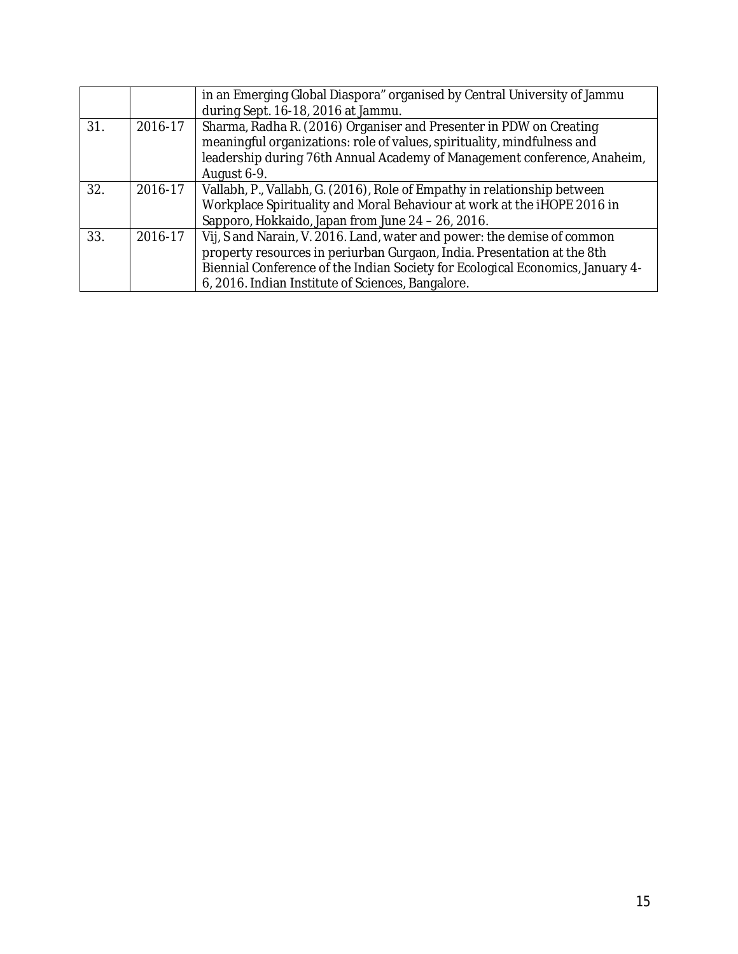|     |         | in an Emerging Global Diaspora" organised by Central University of Jammu<br>during Sept. 16-18, 2016 at Jammu.                                                                                                                                                                            |
|-----|---------|-------------------------------------------------------------------------------------------------------------------------------------------------------------------------------------------------------------------------------------------------------------------------------------------|
| 31. | 2016-17 | Sharma, Radha R. (2016) Organiser and Presenter in PDW on Creating<br>meaningful organizations: role of values, spirituality, mindfulness and<br>leadership during 76th Annual Academy of Management conference, Anaheim,<br>August 6-9.                                                  |
| 32. | 2016-17 | Vallabh, P., Vallabh, G. (2016), Role of Empathy in relationship between<br>Workplace Spirituality and Moral Behaviour at work at the iHOPE 2016 in<br>Sapporo, Hokkaido, Japan from June 24 - 26, 2016.                                                                                  |
| 33. | 2016-17 | Vij, S and Narain, V. 2016. Land, water and power: the demise of common<br>property resources in periurban Gurgaon, India. Presentation at the 8th<br>Biennial Conference of the Indian Society for Ecological Economics, January 4-<br>6, 2016. Indian Institute of Sciences, Bangalore. |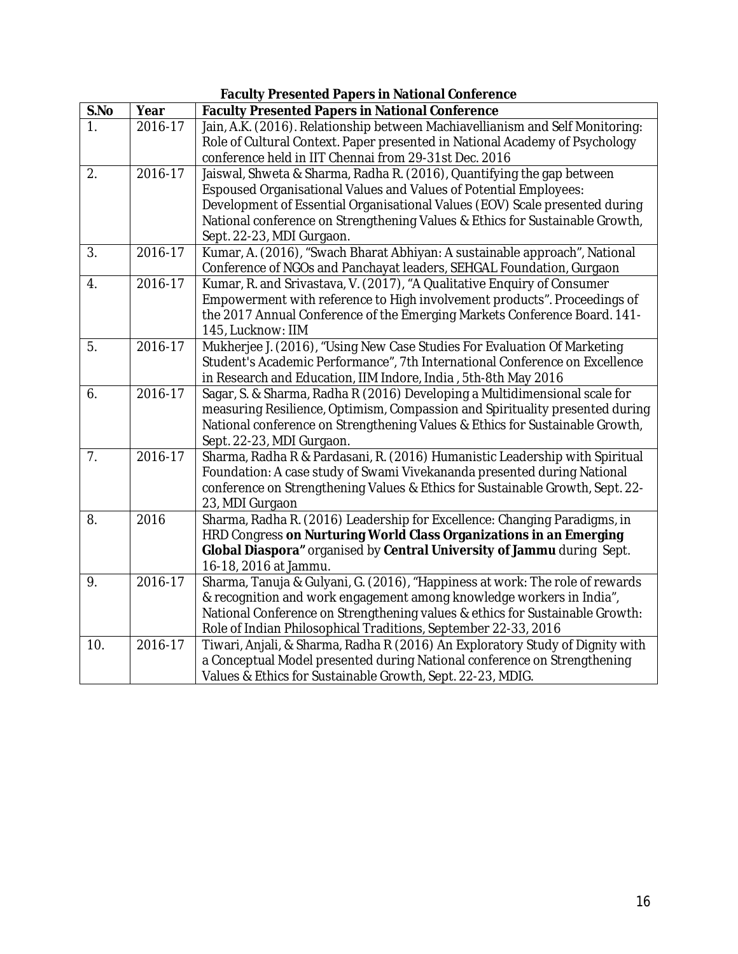|              | <b>Faculty Presented Papers in National Conference</b> |                                                                                                                                                            |  |  |
|--------------|--------------------------------------------------------|------------------------------------------------------------------------------------------------------------------------------------------------------------|--|--|
| S.No         | Year                                                   | <b>Faculty Presented Papers in National Conference</b>                                                                                                     |  |  |
| $\mathbf{1}$ | 2016-17                                                | Jain, A.K. (2016). Relationship between Machiavellianism and Self Monitoring:                                                                              |  |  |
|              |                                                        | Role of Cultural Context. Paper presented in National Academy of Psychology                                                                                |  |  |
|              |                                                        | conference held in IIT Chennai from 29-31st Dec. 2016                                                                                                      |  |  |
| 2.           | 2016-17                                                | Jaiswal, Shweta & Sharma, Radha R. (2016), Quantifying the gap between                                                                                     |  |  |
|              |                                                        | Espoused Organisational Values and Values of Potential Employees:                                                                                          |  |  |
|              |                                                        | Development of Essential Organisational Values (EOV) Scale presented during                                                                                |  |  |
|              |                                                        | National conference on Strengthening Values & Ethics for Sustainable Growth,                                                                               |  |  |
|              |                                                        | Sept. 22-23, MDI Gurgaon.                                                                                                                                  |  |  |
| 3.           | $2016 - 17$                                            | Kumar, A. (2016), "Swach Bharat Abhiyan: A sustainable approach", National                                                                                 |  |  |
|              |                                                        | Conference of NGOs and Panchayat leaders, SEHGAL Foundation, Gurgaon                                                                                       |  |  |
| 4.           | $2016 - 17$                                            | Kumar, R. and Srivastava, V. (2017), "A Qualitative Enquiry of Consumer                                                                                    |  |  |
|              |                                                        | Empowerment with reference to High involvement products". Proceedings of                                                                                   |  |  |
|              |                                                        | the 2017 Annual Conference of the Emerging Markets Conference Board. 141-                                                                                  |  |  |
|              |                                                        | 145, Lucknow: IIM                                                                                                                                          |  |  |
| 5.           | 2016-17                                                | Mukherjee J. (2016), "Using New Case Studies For Evaluation Of Marketing                                                                                   |  |  |
|              |                                                        | Student's Academic Performance", 7th International Conference on Excellence                                                                                |  |  |
|              | 2016-17                                                | in Research and Education, IIM Indore, India, 5th-8th May 2016                                                                                             |  |  |
| 6.           |                                                        | Sagar, S. & Sharma, Radha R (2016) Developing a Multidimensional scale for<br>measuring Resilience, Optimism, Compassion and Spirituality presented during |  |  |
|              |                                                        | National conference on Strengthening Values & Ethics for Sustainable Growth,                                                                               |  |  |
|              |                                                        | Sept. 22-23, MDI Gurgaon.                                                                                                                                  |  |  |
| 7.           | $2016 - 17$                                            | Sharma, Radha R & Pardasani, R. (2016) Humanistic Leadership with Spiritual                                                                                |  |  |
|              |                                                        | Foundation: A case study of Swami Vivekananda presented during National                                                                                    |  |  |
|              |                                                        | conference on Strengthening Values & Ethics for Sustainable Growth, Sept. 22-                                                                              |  |  |
|              |                                                        | 23, MDI Gurgaon                                                                                                                                            |  |  |
| 8.           | 2016                                                   | Sharma, Radha R. (2016) Leadership for Excellence: Changing Paradigms, in                                                                                  |  |  |
|              |                                                        | HRD Congress on Nurturing World Class Organizations in an Emerging                                                                                         |  |  |
|              |                                                        | Global Diaspora" organised by Central University of Jammu during Sept.                                                                                     |  |  |
|              |                                                        | 16-18, 2016 at Jammu.                                                                                                                                      |  |  |
| 9.           | 2016-17                                                | Sharma, Tanuja & Gulyani, G. (2016), "Happiness at work: The role of rewards                                                                               |  |  |
|              |                                                        | & recognition and work engagement among knowledge workers in India",                                                                                       |  |  |
|              |                                                        | National Conference on Strengthening values & ethics for Sustainable Growth:                                                                               |  |  |
|              |                                                        | Role of Indian Philosophical Traditions, September 22-33, 2016                                                                                             |  |  |
| 10.          | 2016-17                                                | Tiwari, Anjali, & Sharma, Radha R (2016) An Exploratory Study of Dignity with                                                                              |  |  |
|              |                                                        | a Conceptual Model presented during National conference on Strengthening                                                                                   |  |  |
|              |                                                        | Values & Ethics for Sustainable Growth, Sept. 22-23, MDIG.                                                                                                 |  |  |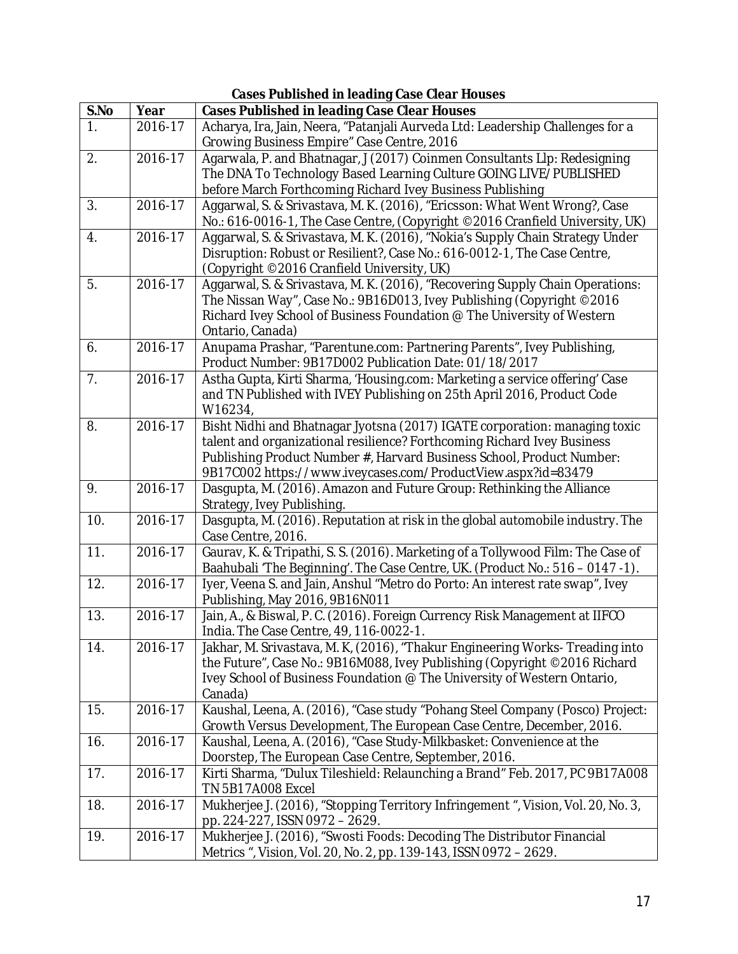| <b>Cases Published in leading Case Clear Houses</b> |             |                                                                                          |
|-----------------------------------------------------|-------------|------------------------------------------------------------------------------------------|
| S.No                                                | Year        | <b>Cases Published in leading Case Clear Houses</b>                                      |
| $\mathbf{1}$ .                                      | 2016-17     | Acharya, Ira, Jain, Neera, "Patanjali Aurveda Ltd: Leadership Challenges for a           |
|                                                     |             | Growing Business Empire" Case Centre, 2016                                               |
| 2.                                                  | 2016-17     | Agarwala, P. and Bhatnagar, J (2017) Coinmen Consultants Lip: Redesigning                |
|                                                     |             | The DNA To Technology Based Learning Culture GOING LIVE/PUBLISHED                        |
|                                                     |             | before March Forthcoming Richard Ivey Business Publishing                                |
| 3.                                                  | 2016-17     | Aggarwal, S. & Srivastava, M. K. (2016), "Ericsson: What Went Wrong?, Case               |
|                                                     |             | No.: 616-0016-1, The Case Centre, (Copyright ©2016 Cranfield University, UK)             |
| 4.                                                  | 2016-17     | Aggarwal, S. & Srivastava, M. K. (2016), "Nokia's Supply Chain Strategy Under            |
|                                                     |             | Disruption: Robust or Resilient?, Case No.: 616-0012-1, The Case Centre,                 |
|                                                     |             | (Copyright ©2016 Cranfield University, UK)                                               |
| 5.                                                  | $2016 - 17$ | Aggarwal, S. & Srivastava, M. K. (2016), "Recovering Supply Chain Operations:            |
|                                                     |             | The Nissan Way", Case No.: 9B16D013, Ivey Publishing (Copyright ©2016                    |
|                                                     |             | Richard Ivey School of Business Foundation @ The University of Western                   |
|                                                     |             | Ontario, Canada)                                                                         |
| 6.                                                  | 2016-17     | Anupama Prashar, "Parentune.com: Partnering Parents", Ivey Publishing,                   |
|                                                     |             | Product Number: 9B17D002 Publication Date: 01/18/2017                                    |
| 7.                                                  | 2016-17     | Astha Gupta, Kirti Sharma, 'Housing.com: Marketing a service offering' Case              |
|                                                     |             | and TN Published with IVEY Publishing on 25th April 2016, Product Code                   |
|                                                     |             | W16234,                                                                                  |
| 8.                                                  | 2016-17     | Bisht Nidhi and Bhatnagar Jyotsna (2017) IGATE corporation: managing toxic               |
|                                                     |             | talent and organizational resilience? Forthcoming Richard Ivey Business                  |
|                                                     |             | Publishing Product Number #, Harvard Business School, Product Number:                    |
|                                                     |             | 9B17C002 https://www.iveycases.com/ProductView.aspx?id=83479                             |
| 9.                                                  | 2016-17     | Dasgupta, M. (2016). Amazon and Future Group: Rethinking the Alliance                    |
|                                                     |             | Strategy, Ivey Publishing.                                                               |
| 10.                                                 | 2016-17     | Dasgupta, M. (2016). Reputation at risk in the global automobile industry. The           |
|                                                     |             | Case Centre, 2016.                                                                       |
| 11.                                                 | 2016-17     | Gaurav, K. & Tripathi, S. S. (2016). Marketing of a Tollywood Film: The Case of          |
|                                                     |             | Baahubali 'The Beginning'. The Case Centre, UK. (Product No.: 516 - 0147 -1).            |
| 12.                                                 | 2016-17     | Iyer, Veena S. and Jain, Anshul "Metro do Porto: An interest rate swap", Ivey            |
|                                                     |             | Publishing, May 2016, 9B16N011                                                           |
| 13.                                                 | 2016-17     | Jain, A., & Biswal, P. C. (2016). Foreign Currency Risk Management at IIFCO              |
|                                                     |             | India. The Case Centre, 49, 116-0022-1.                                                  |
| 14.                                                 | 2016-17     | Jakhar, M. Srivastava, M. K, (2016), "Thakur Engineering Works- Treading into            |
|                                                     |             | the Future", Case No.: 9B16M088, Ivey Publishing (Copyright ©2016 Richard                |
|                                                     |             | Ivey School of Business Foundation @ The University of Western Ontario,                  |
| 15.                                                 | 2016-17     | Canada)<br>Kaushal, Leena, A. (2016), "Case study "Pohang Steel Company (Posco) Project: |
|                                                     |             | Growth Versus Development, The European Case Centre, December, 2016.                     |
| 16.                                                 | 2016-17     | Kaushal, Leena, A. (2016), "Case Study-Milkbasket: Convenience at the                    |
|                                                     |             | Doorstep, The European Case Centre, September, 2016.                                     |
| 17.                                                 | 2016-17     | Kirti Sharma, "Dulux Tileshield: Relaunching a Brand" Feb. 2017, PC 9B17A008             |
|                                                     |             | <b>TN 5B17A008 Excel</b>                                                                 |
| 18.                                                 | 2016-17     | Mukherjee J. (2016), "Stopping Territory Infringement ", Vision, Vol. 20, No. 3,         |
|                                                     |             | pp. 224-227, ISSN 0972 - 2629.                                                           |
| 19.                                                 | 2016-17     | Mukherjee J. (2016), "Swosti Foods: Decoding The Distributor Financial                   |
|                                                     |             | Metrics ", Vision, Vol. 20, No. 2, pp. 139-143, ISSN 0972 - 2629.                        |
|                                                     |             |                                                                                          |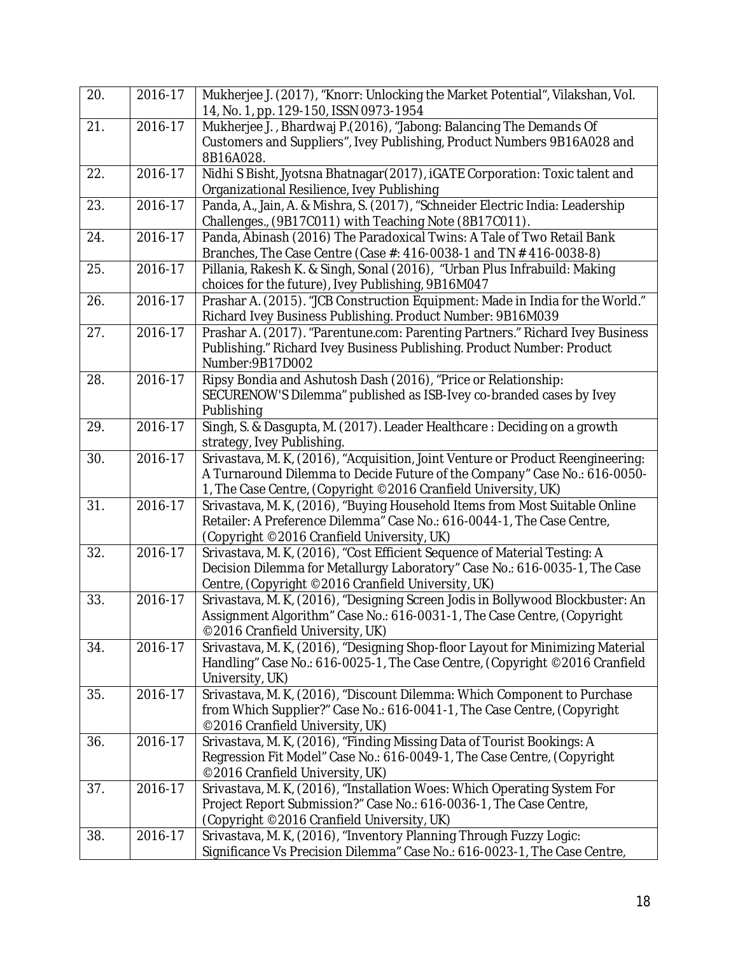| 20. | 2016-17 | Mukherjee J. (2017), "Knorr: Unlocking the Market Potential", Vilakshan, Vol.<br>14, No. 1, pp. 129-150, ISSN 0973-1954                                                                                                        |
|-----|---------|--------------------------------------------------------------------------------------------------------------------------------------------------------------------------------------------------------------------------------|
| 21. | 2016-17 | Mukherjee J., Bhardwaj P.(2016), "Jabong: Balancing The Demands Of<br>Customers and Suppliers", Ivey Publishing, Product Numbers 9B16A028 and<br>8B16A028.                                                                     |
| 22. | 2016-17 | Nidhi S Bisht, Jyotsna Bhatnagar (2017), iGATE Corporation: Toxic talent and<br>Organizational Resilience, Ivey Publishing                                                                                                     |
| 23. | 2016-17 | Panda, A., Jain, A. & Mishra, S. (2017), "Schneider Electric India: Leadership<br>Challenges., (9B17C011) with Teaching Note (8B17C011).                                                                                       |
| 24. | 2016-17 | Panda, Abinash (2016) The Paradoxical Twins: A Tale of Two Retail Bank<br>Branches, The Case Centre (Case #: 416-0038-1 and TN # 416-0038-8)                                                                                   |
| 25. | 2016-17 | Pillania, Rakesh K. & Singh, Sonal (2016), "Urban Plus Infrabuild: Making<br>choices for the future), Ivey Publishing, 9B16M047                                                                                                |
| 26. | 2016-17 | Prashar A. (2015). "JCB Construction Equipment: Made in India for the World."<br>Richard Ivey Business Publishing. Product Number: 9B16M039                                                                                    |
| 27. | 2016-17 | Prashar A. (2017). "Parentune.com: Parenting Partners." Richard Ivey Business<br>Publishing." Richard Ivey Business Publishing. Product Number: Product<br>Number: 9B17D002                                                    |
| 28. | 2016-17 | Ripsy Bondia and Ashutosh Dash (2016), "Price or Relationship:<br>SECURENOW'S Dilemma" published as ISB-Ivey co-branded cases by Ivey<br>Publishing                                                                            |
| 29. | 2016-17 | Singh, S. & Dasgupta, M. (2017). Leader Healthcare: Deciding on a growth<br>strategy, Ivey Publishing.                                                                                                                         |
| 30. | 2016-17 | Srivastava, M. K, (2016), "Acquisition, Joint Venture or Product Reengineering:<br>A Turnaround Dilemma to Decide Future of the Company" Case No.: 616-0050-<br>1, The Case Centre, (Copyright ©2016 Cranfield University, UK) |
| 31. | 2016-17 | Srivastava, M. K, (2016), "Buying Household Items from Most Suitable Online<br>Retailer: A Preference Dilemma" Case No.: 616-0044-1, The Case Centre,<br>(Copyright ©2016 Cranfield University, UK)                            |
| 32. | 2016-17 | Srivastava, M. K. (2016), "Cost Efficient Sequence of Material Testing: A<br>Decision Dilemma for Metallurgy Laboratory" Case No.: 616-0035-1, The Case<br>Centre, (Copyright ©2016 Cranfield University, UK)                  |
| 33. | 2016-17 | Srivastava, M. K. (2016), "Designing Screen Jodis in Bollywood Blockbuster: An<br>Assignment Algorithm" Case No.: 616-0031-1, The Case Centre, (Copyright<br>©2016 Cranfield University, UK)                                   |
| 34. | 2016-17 | Srivastava, M. K. (2016), "Designing Shop-floor Layout for Minimizing Material<br>Handling" Case No.: 616-0025-1, The Case Centre, (Copyright ©2016 Cranfield<br>University, UK)                                               |
| 35. | 2016-17 | Srivastava, M. K. (2016), "Discount Dilemma: Which Component to Purchase<br>from Which Supplier?" Case No.: 616-0041-1, The Case Centre, (Copyright<br>©2016 Cranfield University, UK)                                         |
| 36. | 2016-17 | Srivastava, M. K, (2016), "Finding Missing Data of Tourist Bookings: A<br>Regression Fit Model" Case No.: 616-0049-1, The Case Centre, (Copyright<br>©2016 Cranfield University, UK)                                           |
| 37. | 2016-17 | Srivastava, M. K, (2016), "Installation Woes: Which Operating System For<br>Project Report Submission?" Case No.: 616-0036-1, The Case Centre,<br>(Copyright ©2016 Cranfield University, UK)                                   |
| 38. | 2016-17 | Srivastava, M. K, (2016), "Inventory Planning Through Fuzzy Logic:<br>Significance Vs Precision Dilemma" Case No.: 616-0023-1, The Case Centre,                                                                                |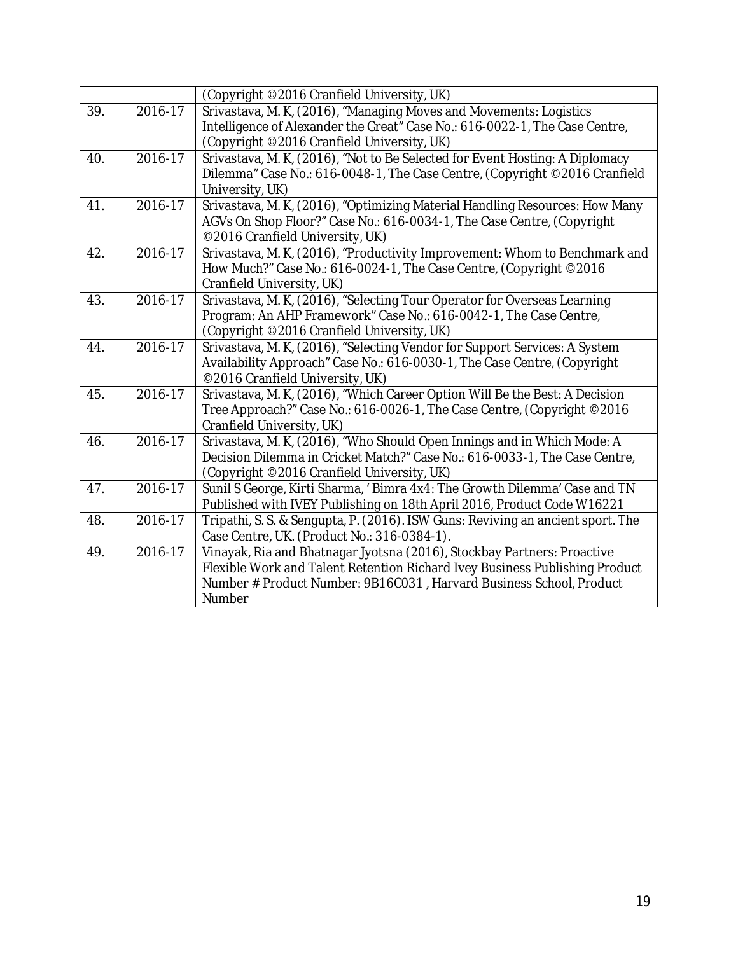|     |                        | (Copyright ©2016 Cranfield University, UK)                                                            |
|-----|------------------------|-------------------------------------------------------------------------------------------------------|
| 39. | 2016-17                | Srivastava, M. K, (2016), "Managing Moves and Movements: Logistics                                    |
|     |                        | Intelligence of Alexander the Great" Case No.: 616-0022-1, The Case Centre,                           |
|     |                        | (Copyright ©2016 Cranfield University, UK)                                                            |
| 40. | 2016-17                | Srivastava, M. K, (2016), "Not to Be Selected for Event Hosting: A Diplomacy                          |
|     |                        | Dilemma" Case No.: 616-0048-1, The Case Centre, (Copyright ©2016 Cranfield                            |
|     |                        | University, UK)                                                                                       |
| 41. | $\overline{2016} - 17$ | Srivastava, M. K, (2016), "Optimizing Material Handling Resources: How Many                           |
|     |                        | AGVs On Shop Floor?" Case No.: 616-0034-1, The Case Centre, (Copyright                                |
|     |                        | ©2016 Cranfield University, UK)                                                                       |
| 42. | 2016-17                | Srivastava, M. K, (2016), "Productivity Improvement: Whom to Benchmark and                            |
|     |                        | How Much?" Case No.: 616-0024-1, The Case Centre, (Copyright ©2016                                    |
|     |                        | Cranfield University, UK)                                                                             |
| 43. | 2016-17                | Srivastava, M. K, (2016), "Selecting Tour Operator for Overseas Learning                              |
|     |                        | Program: An AHP Framework" Case No.: 616-0042-1, The Case Centre,                                     |
|     |                        | (Copyright ©2016 Cranfield University, UK)                                                            |
| 44. | $2016 - 17$            | Srivastava, M. K, (2016), "Selecting Vendor for Support Services: A System                            |
|     |                        | Availability Approach" Case No.: 616-0030-1, The Case Centre, (Copyright                              |
|     |                        | ©2016 Cranfield University, UK)                                                                       |
| 45. | 2016-17                | Srivastava, M. K. (2016), "Which Career Option Will Be the Best: A Decision                           |
|     |                        | Tree Approach?" Case No.: 616-0026-1, The Case Centre, (Copyright © 2016<br>Cranfield University, UK) |
| 46. | 2016-17                | Srivastava, M. K, (2016), "Who Should Open Innings and in Which Mode: A                               |
|     |                        | Decision Dilemma in Cricket Match?" Case No.: 616-0033-1, The Case Centre,                            |
|     |                        | (Copyright ©2016 Cranfield University, UK)                                                            |
| 47. | $2016 - 17$            | Sunil S George, Kirti Sharma, 'Bimra 4x4: The Growth Dilemma' Case and TN                             |
|     |                        | Published with IVEY Publishing on 18th April 2016, Product Code W16221                                |
| 48. | 2016-17                | Tripathi, S. S. & Sengupta, P. (2016). ISW Guns: Reviving an ancient sport. The                       |
|     |                        | Case Centre, UK. (Product No.: 316-0384-1).                                                           |
| 49. | 2016-17                | Vinayak, Ria and Bhatnagar Jyotsna (2016), Stockbay Partners: Proactive                               |
|     |                        | Flexible Work and Talent Retention Richard Ivey Business Publishing Product                           |
|     |                        | Number # Product Number: 9B16C031, Harvard Business School, Product                                   |
|     |                        | Number                                                                                                |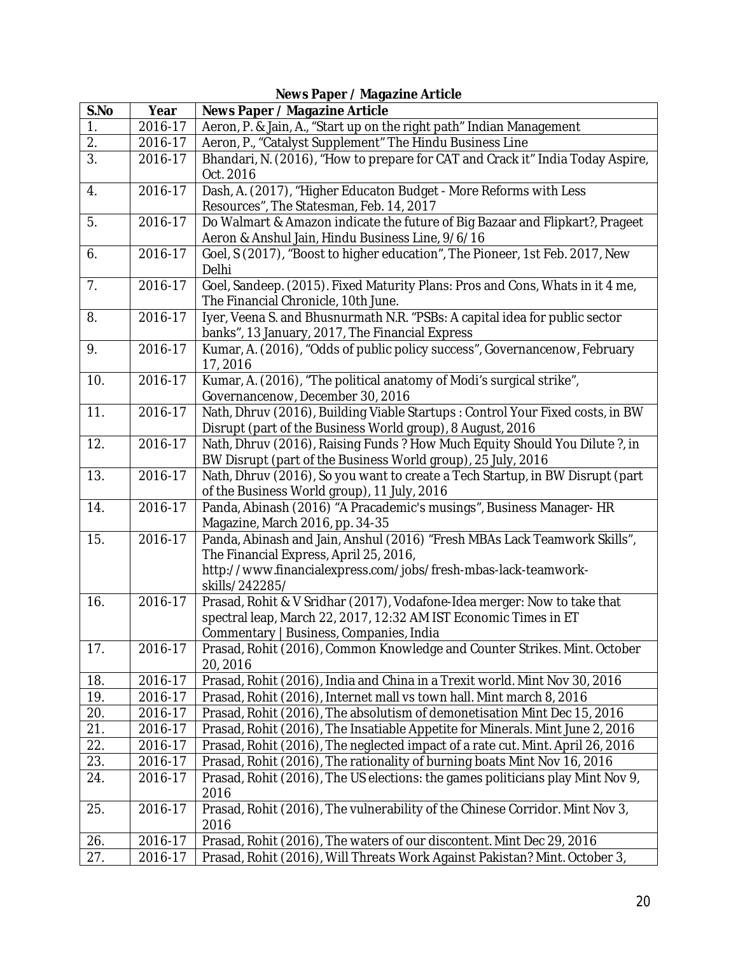| S.No             | Year               | <b>Rews</b> raper, magazine Article<br>News Paper / Magazine Article                                                                                       |
|------------------|--------------------|------------------------------------------------------------------------------------------------------------------------------------------------------------|
| $\overline{1}$ . | 2016-17            | Aeron, P. & Jain, A., "Start up on the right path" Indian Management                                                                                       |
| 2.               | 2016-17            | Aeron, P., "Catalyst Supplement" The Hindu Business Line                                                                                                   |
| $\overline{3}$ . | 2016-17            | Bhandari, N. (2016), "How to prepare for CAT and Crack it" India Today Aspire,                                                                             |
|                  |                    | Oct. 2016                                                                                                                                                  |
| 4.               | 2016-17            | Dash, A. (2017), "Higher Educaton Budget - More Reforms with Less                                                                                          |
|                  |                    | Resources", The Statesman, Feb. 14, 2017                                                                                                                   |
| 5.               | 2016-17            | Do Walmart & Amazon indicate the future of Big Bazaar and Flipkart?, Prageet                                                                               |
|                  |                    | Aeron & Anshul Jain, Hindu Business Line, 9/6/16                                                                                                           |
| 6.               | 2016-17            | Goel, S (2017), "Boost to higher education", The Pioneer, 1st Feb. 2017, New                                                                               |
|                  |                    | Delhi                                                                                                                                                      |
| 7.               | 2016-17            | Goel, Sandeep. (2015). Fixed Maturity Plans: Pros and Cons, Whats in it 4 me,                                                                              |
|                  |                    | The Financial Chronicle, 10th June.                                                                                                                        |
| 8.               | 2016-17            | Iyer, Veena S. and Bhusnurmath N.R. "PSBs: A capital idea for public sector                                                                                |
|                  |                    | banks", 13 January, 2017, The Financial Express                                                                                                            |
| 9.               | 2016-17            | Kumar, A. (2016), "Odds of public policy success", Governancenow, February                                                                                 |
|                  |                    | 17, 2016                                                                                                                                                   |
| 10.              | 2016-17            | Kumar, A. (2016), "The political anatomy of Modi's surgical strike",                                                                                       |
|                  |                    | Governancenow, December 30, 2016                                                                                                                           |
| 11.              | 2016-17            | Nath, Dhruv (2016), Building Viable Startups: Control Your Fixed costs, in BW                                                                              |
|                  |                    | Disrupt (part of the Business World group), 8 August, 2016                                                                                                 |
| 12.              | 2016-17            | Nath, Dhruv (2016), Raising Funds ? How Much Equity Should You Dilute ?, in                                                                                |
| 13.              | 2016-17            | BW Disrupt (part of the Business World group), 25 July, 2016<br>Nath, Dhruv (2016), So you want to create a Tech Startup, in BW Disrupt (part              |
|                  |                    | of the Business World group), 11 July, 2016                                                                                                                |
| 14.              | 2016-17            | Panda, Abinash (2016) "A Pracademic's musings", Business Manager- HR                                                                                       |
|                  |                    | Magazine, March 2016, pp. 34-35                                                                                                                            |
| 15.              | 2016-17            | Panda, Abinash and Jain, Anshul (2016) "Fresh MBAs Lack Teamwork Skills",                                                                                  |
|                  |                    | The Financial Express, April 25, 2016,                                                                                                                     |
|                  |                    | http://www.financialexpress.com/jobs/fresh-mbas-lack-teamwork-                                                                                             |
|                  |                    | skills/242285/                                                                                                                                             |
| 16.              | 2016-17            | Prasad, Rohit & V Sridhar (2017), Vodafone-Idea merger: Now to take that                                                                                   |
|                  |                    | spectral leap, March 22, 2017, 12:32 AM IST Economic Times in ET                                                                                           |
|                  |                    | Commentary   Business, Companies, India                                                                                                                    |
| 17.              | 2016-17            | Prasad, Rohit (2016), Common Knowledge and Counter Strikes. Mint. October                                                                                  |
|                  |                    | 20, 2016                                                                                                                                                   |
| 18.              | 2016-17            | Prasad, Rohit (2016), India and China in a Trexit world. Mint Nov 30, 2016                                                                                 |
| 19.              | 2016-17<br>2016-17 | Prasad, Rohit (2016), Internet mall vs town hall. Mint march 8, 2016<br>Prasad, Rohit (2016), The absolutism of demonetisation Mint Dec 15, 2016           |
| 20.              |                    |                                                                                                                                                            |
| 21.              | 2016-17            | Prasad, Rohit (2016), The Insatiable Appetite for Minerals. Mint June 2, 2016                                                                              |
| 22.<br>23.       | 2016-17            | Prasad, Rohit (2016), The neglected impact of a rate cut. Mint. April 26, 2016<br>Prasad, Rohit (2016), The rationality of burning boats Mint Nov 16, 2016 |
|                  | 2016-17            |                                                                                                                                                            |
| 24.              | 2016-17            | Prasad, Rohit (2016), The US elections: the games politicians play Mint Nov 9,<br>2016                                                                     |
| 25.              | 2016-17            | Prasad, Rohit (2016), The vulnerability of the Chinese Corridor. Mint Nov 3,                                                                               |
|                  |                    | 2016                                                                                                                                                       |
| 26.              | 2016-17            | Prasad, Rohit (2016), The waters of our discontent. Mint Dec 29, 2016                                                                                      |
| 27.              | 2016-17            | Prasad, Rohit (2016), Will Threats Work Against Pakistan? Mint. October 3,                                                                                 |